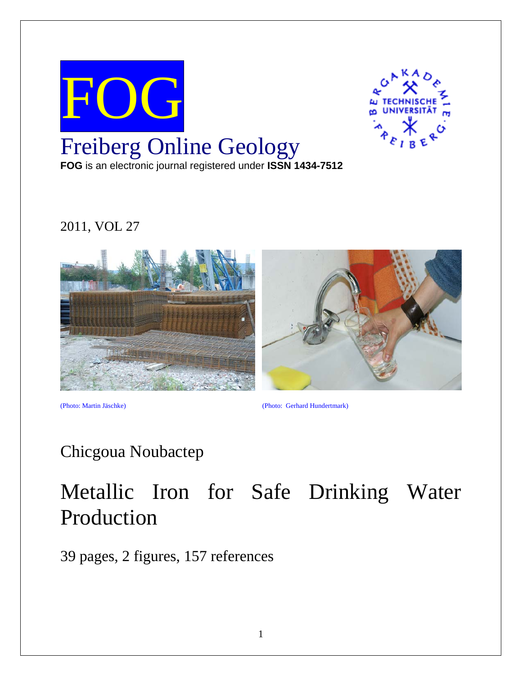

# 2011, VOL 27



(Photo: Martin Jäschke) (Photo: Gerhard Hundertmark)

# Chicgoua Noubactep

# Metallic Iron for Safe Drinking Water Production

39 pages, 2 figures, 157 references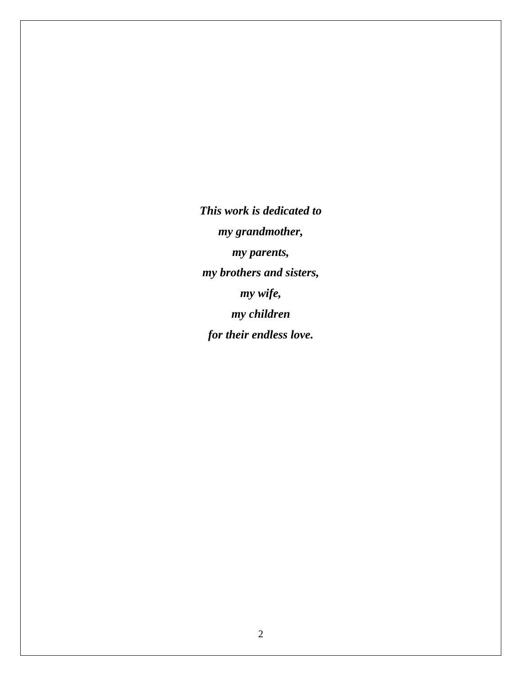*This work is dedicated to my grandmother, my parents, my brothers and sisters, my wife, my children for their endless love.*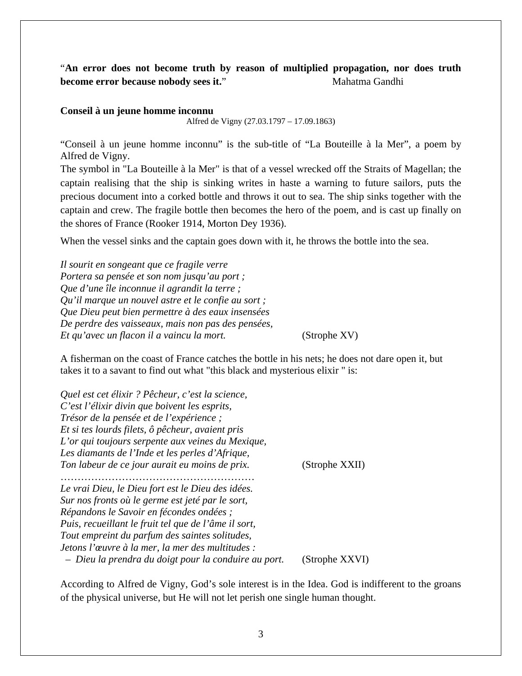# "**An error does not become truth by reason of multiplied propagation, nor does truth become error because nobody sees it."** Mahatma Gandhi

#### **Conseil à un jeune homme inconnu**

Alfred de Vigny (27.03.1797 – 17.09.1863)

"Conseil à un jeune homme inconnu" is the sub-title of "La Bouteille à la Mer", a poem by Alfred de Vigny.

The symbol in "La Bouteille à la Mer" is that of a vessel wrecked off the Straits of Magellan; the captain realising that the ship is sinking writes in haste a warning to future sailors, puts the precious document into a corked bottle and throws it out to sea. The ship sinks together with the captain and crew. The fragile bottle then becomes the hero of the poem, and is cast up finally on the shores of France (Rooker 1914, Morton Dey 1936).

When the vessel sinks and the captain goes down with it, he throws the bottle into the sea.

*Il sourit en songeant que ce fragile verre Portera sa pensée et son nom jusqu'au port ; Que d'une île inconnue il agrandit la terre ; Qu'il marque un nouvel astre et le confie au sort ; Que Dieu peut bien permettre à des eaux insensées De perdre des vaisseaux, mais non pas des pensées, Et qu'avec un flacon il a vaincu la mort.* (Strophe XV)

A fisherman on the coast of France catches the bottle in his nets; he does not dare open it, but takes it to a savant to find out what "this black and mysterious elixir " is:

*Quel est cet élixir ? Pêcheur, c'est la science, C'est l'élixir divin que boivent les esprits, Trésor de la pensée et de l'expérience ; Et si tes lourds filets, ô pêcheur, avaient pris L'or qui toujours serpente aux veines du Mexique, Les diamants de l'Inde et les perles d'Afrique, Ton labeur de ce jour aurait eu moins de prix.* (Strophe XXII) ………………………………………………… *Le vrai Dieu, le Dieu fort est le Dieu des idées. Sur nos fronts où le germe est jeté par le sort, Répandons le Savoir en fécondes ondées ; Puis, recueillant le fruit tel que de l'âme il sort, Tout empreint du parfum des saintes solitudes, Jetons l'œuvre à la mer, la mer des multitudes : – Dieu la prendra du doigt pour la conduire au port.* (Strophe XXVI)

According to Alfred de Vigny, God's sole interest is in the Idea. God is indifferent to the groans of the physical universe, but He will not let perish one single human thought.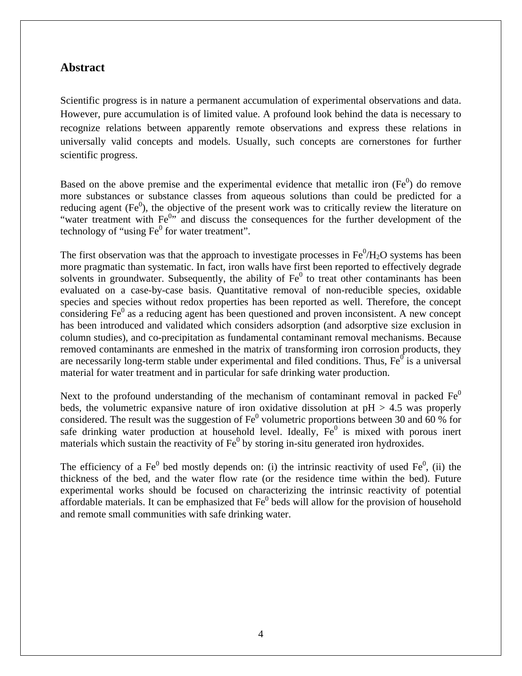# **Abstract**

Scientific progress is in nature a permanent accumulation of experimental observations and data. However, pure accumulation is of limited value. A profound look behind the data is necessary to recognize relations between apparently remote observations and express these relations in universally valid concepts and models. Usually, such concepts are cornerstones for further scientific progress.

Based on the above premise and the experimental evidence that metallic iron  $(Fe^0)$  do remove more substances or substance classes from aqueous solutions than could be predicted for a reducing agent  $(Fe<sup>0</sup>)$ , the objective of the present work was to critically review the literature on "water treatment with  $Fe^{0,7}$  and discuss the consequences for the further development of the technology of "using  $\text{Fe}^0$  for water treatment".

The first observation was that the approach to investigate processes in  $Fe^0/H_2O$  systems has been more pragmatic than systematic. In fact, iron walls have first been reported to effectively degrade solvents in groundwater. Subsequently, the ability of  $Fe<sup>0</sup>$  to treat other contaminants has been evaluated on a case-by-case basis. Quantitative removal of non-reducible species, oxidable species and species without redox properties has been reported as well. Therefore, the concept considering  $Fe<sup>0</sup>$  as a reducing agent has been questioned and proven inconsistent. A new concept has been introduced and validated which considers adsorption (and adsorptive size exclusion in column studies), and co-precipitation as fundamental contaminant removal mechanisms. Because removed contaminants are enmeshed in the matrix of transforming iron corrosion products, they are necessarily long-term stable under experimental and filed conditions. Thus,  $Fe^{0}$  is a universal material for water treatment and in particular for safe drinking water production.

Next to the profound understanding of the mechanism of contaminant removal in packed  $Fe<sup>0</sup>$ beds, the volumetric expansive nature of iron oxidative dissolution at  $pH > 4.5$  was properly considered. The result was the suggestion of  $\text{Fe}^0$  volumetric proportions between 30 and 60 % for safe drinking water production at household level. Ideally,  $Fe<sup>0</sup>$  is mixed with porous inert materials which sustain the reactivity of  $\text{Fe}^0$  by storing in-situ generated iron hydroxides.

The efficiency of a Fe<sup>0</sup> bed mostly depends on: (i) the intrinsic reactivity of used Fe<sup>0</sup>, (ii) the thickness of the bed, and the water flow rate (or the residence time within the bed). Future experimental works should be focused on characterizing the intrinsic reactivity of potential affordable materials. It can be emphasized that  $Fe<sup>0</sup>$  beds will allow for the provision of household and remote small communities with safe drinking water.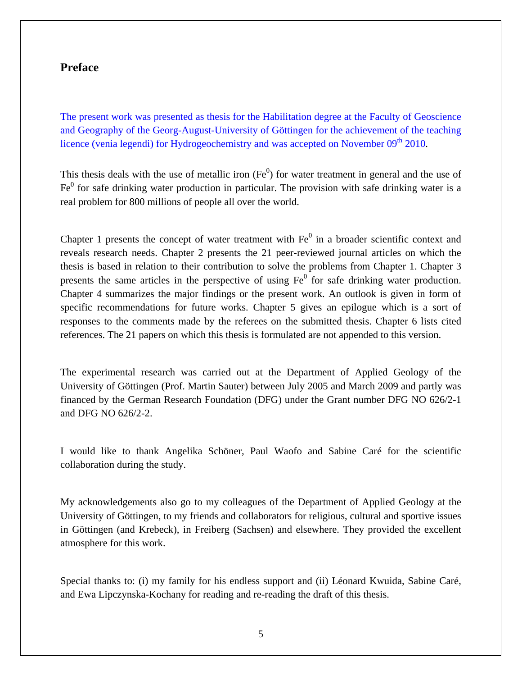## **Preface**

The present work was presented as thesis for the Habilitation degree at the Faculty of Geoscience and Geography of the Georg-August-University of Göttingen for the achievement of the teaching licence (venia legendi) for Hydrogeochemistry and was accepted on November 09<sup>th</sup> 2010.

This thesis deals with the use of metallic iron  $(Fe<sup>0</sup>)$  for water treatment in general and the use of  $Fe<sup>0</sup>$  for safe drinking water production in particular. The provision with safe drinking water is a real problem for 800 millions of people all over the world.

Chapter 1 presents the concept of water treatment with  $Fe<sup>0</sup>$  in a broader scientific context and reveals research needs. Chapter 2 presents the 21 peer-reviewed journal articles on which the thesis is based in relation to their contribution to solve the problems from Chapter 1. Chapter 3 presents the same articles in the perspective of using  $Fe<sup>0</sup>$  for safe drinking water production. Chapter 4 summarizes the major findings or the present work. An outlook is given in form of specific recommendations for future works. Chapter 5 gives an epilogue which is a sort of responses to the comments made by the referees on the submitted thesis. Chapter 6 lists cited references. The 21 papers on which this thesis is formulated are not appended to this version.

The experimental research was carried out at the Department of Applied Geology of the University of Göttingen (Prof. Martin Sauter) between July 2005 and March 2009 and partly was financed by the German Research Foundation (DFG) under the Grant number DFG NO 626/2-1 and DFG NO 626/2-2.

I would like to thank Angelika Schöner, Paul Waofo and Sabine Caré for the scientific collaboration during the study.

My acknowledgements also go to my colleagues of the Department of Applied Geology at the University of Göttingen, to my friends and collaborators for religious, cultural and sportive issues in Göttingen (and Krebeck), in Freiberg (Sachsen) and elsewhere. They provided the excellent atmosphere for this work.

Special thanks to: (i) my family for his endless support and (ii) Léonard Kwuida, Sabine Caré, and Ewa Lipczynska-Kochany for reading and re-reading the draft of this thesis.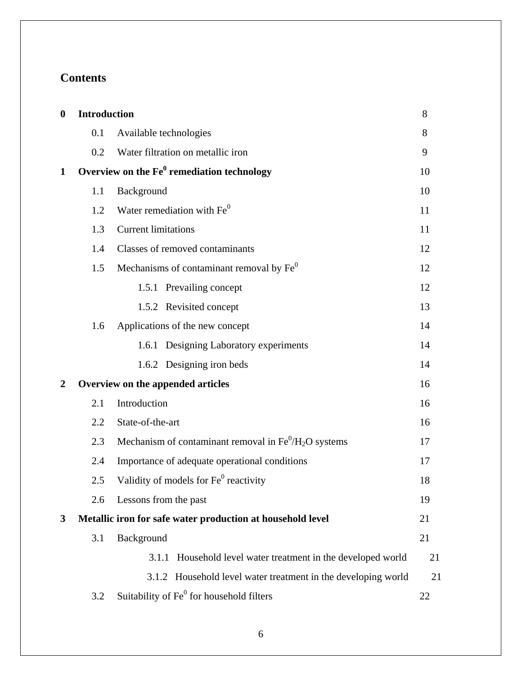# **Contents**

| $\boldsymbol{0}$ | <b>Introduction</b> |                                                                              | 8  |
|------------------|---------------------|------------------------------------------------------------------------------|----|
|                  | 0.1                 | Available technologies                                                       | 8  |
|                  | 0.2                 | Water filtration on metallic iron                                            | 9  |
| $\mathbf{1}$     |                     | Overview on the $Fe0$ remediation technology                                 | 10 |
|                  | 1.1                 | Background                                                                   | 10 |
|                  | 1.2                 | Water remediation with Fe <sup>0</sup>                                       | 11 |
|                  | 1.3                 | <b>Current limitations</b>                                                   | 11 |
|                  | 1.4                 | Classes of removed contaminants                                              | 12 |
|                  | 1.5                 | Mechanisms of contaminant removal by $\text{Fe}^0$                           | 12 |
|                  |                     | 1.5.1 Prevailing concept                                                     | 12 |
|                  |                     | 1.5.2 Revisited concept                                                      | 13 |
|                  | 1.6                 | Applications of the new concept                                              | 14 |
|                  |                     | 1.6.1 Designing Laboratory experiments                                       | 14 |
|                  |                     | 1.6.2 Designing iron beds                                                    | 14 |
| $\overline{2}$   |                     | Overview on the appended articles                                            | 16 |
|                  | 2.1                 | Introduction                                                                 | 16 |
|                  | 2.2                 | State-of-the-art                                                             | 16 |
|                  | 2.3                 | Mechanism of contaminant removal in $\text{Fe}^0/\text{H}_2\text{O}$ systems | 17 |
|                  | 2.4                 | Importance of adequate operational conditions                                | 17 |
|                  | 2.5                 | Validity of models for Fe <sup>0</sup> reactivity                            | 18 |
|                  | 2.6                 | Lessons from the past                                                        | 19 |
| 3                |                     | Metallic iron for safe water production at household level                   | 21 |
|                  | 3.1                 | Background                                                                   | 21 |
|                  |                     | 3.1.1<br>Household level water treatment in the developed world              | 21 |
|                  |                     | 3.1.2 Household level water treatment in the developing world                | 21 |
|                  | 3.2                 | Suitability of Fe <sup>0</sup> for household filters                         | 22 |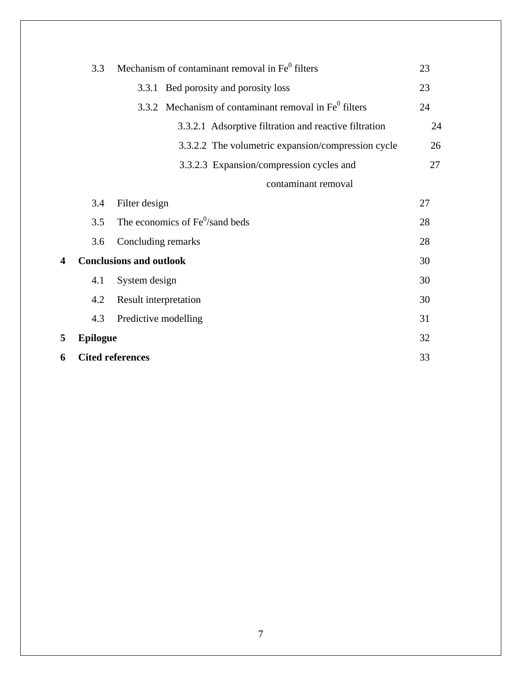|   | 3.3                     | Mechanism of contaminant removal in Fe <sup>0</sup> filters | 23 |
|---|-------------------------|-------------------------------------------------------------|----|
|   |                         | 3.3.1 Bed porosity and porosity loss                        | 23 |
|   |                         | 3.3.2 Mechanism of contaminant removal in $Fe0$ filters     | 24 |
|   |                         | 3.3.2.1 Adsorptive filtration and reactive filtration       | 24 |
|   |                         | 3.3.2.2 The volumetric expansion/compression cycle          | 26 |
|   |                         | 3.3.2.3 Expansion/compression cycles and                    | 27 |
|   |                         | contaminant removal                                         |    |
|   | 3.4                     | Filter design                                               | 27 |
|   | 3.5                     | The economics of Fe <sup>0</sup> /sand beds                 | 28 |
|   | 3.6                     | Concluding remarks                                          | 28 |
| 4 |                         | <b>Conclusions and outlook</b>                              | 30 |
|   | 4.1                     | System design                                               | 30 |
|   | 4.2                     | Result interpretation                                       | 30 |
|   | 4.3                     | Predictive modelling                                        | 31 |
| 5 | <b>Epilogue</b>         |                                                             | 32 |
| 6 | <b>Cited references</b> |                                                             | 33 |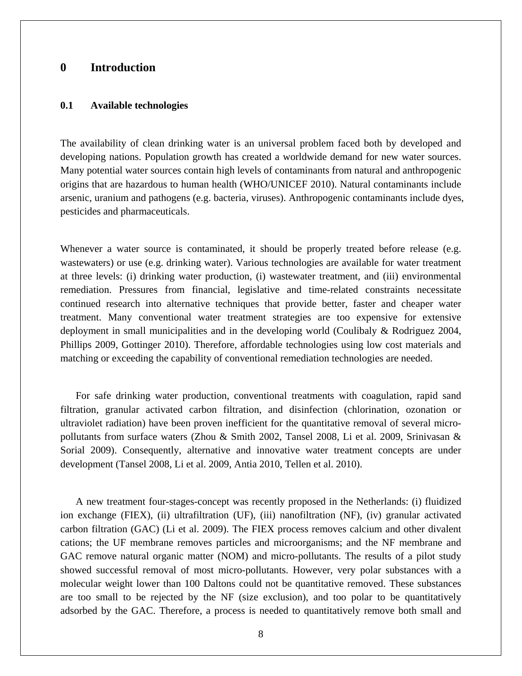### **0 Introduction**

#### **0.1 Available technologies**

The availability of clean drinking water is an universal problem faced both by developed and developing nations. Population growth has created a worldwide demand for new water sources. Many potential water sources contain high levels of contaminants from natural and anthropogenic origins that are hazardous to human health (WHO/UNICEF 2010). Natural contaminants include arsenic, uranium and pathogens (e.g. bacteria, viruses). Anthropogenic contaminants include dyes, pesticides and pharmaceuticals.

Whenever a water source is contaminated, it should be properly treated before release (e.g. wastewaters) or use (e.g. drinking water). Various technologies are available for water treatment at three levels: (i) drinking water production, (i) wastewater treatment, and (iii) environmental remediation. Pressures from financial, legislative and time-related constraints necessitate continued research into alternative techniques that provide better, faster and cheaper water treatment. Many conventional water treatment strategies are too expensive for extensive deployment in small municipalities and in the developing world (Coulibaly & Rodriguez 2004, Phillips 2009, Gottinger 2010). Therefore, affordable technologies using low cost materials and matching or exceeding the capability of conventional remediation technologies are needed.

For safe drinking water production, conventional treatments with coagulation, rapid sand filtration, granular activated carbon filtration, and disinfection (chlorination, ozonation or ultraviolet radiation) have been proven inefficient for the quantitative removal of several micropollutants from surface waters (Zhou & Smith 2002, Tansel 2008, Li et al. 2009, Srinivasan & Sorial 2009). Consequently, alternative and innovative water treatment concepts are under development (Tansel 2008, Li et al. 2009, Antia 2010, Tellen et al. 2010).

A new treatment four-stages-concept was recently proposed in the Netherlands: (i) fluidized ion exchange (FIEX), (ii) ultrafiltration (UF), (iii) nanofiltration (NF), (iv) granular activated carbon filtration (GAC) (Li et al. 2009). The FIEX process removes calcium and other divalent cations; the UF membrane removes particles and microorganisms; and the NF membrane and GAC remove natural organic matter (NOM) and micro-pollutants. The results of a pilot study showed successful removal of most micro-pollutants. However, very polar substances with a molecular weight lower than 100 Daltons could not be quantitative removed. These substances are too small to be rejected by the NF (size exclusion), and too polar to be quantitatively adsorbed by the GAC. Therefore, a process is needed to quantitatively remove both small and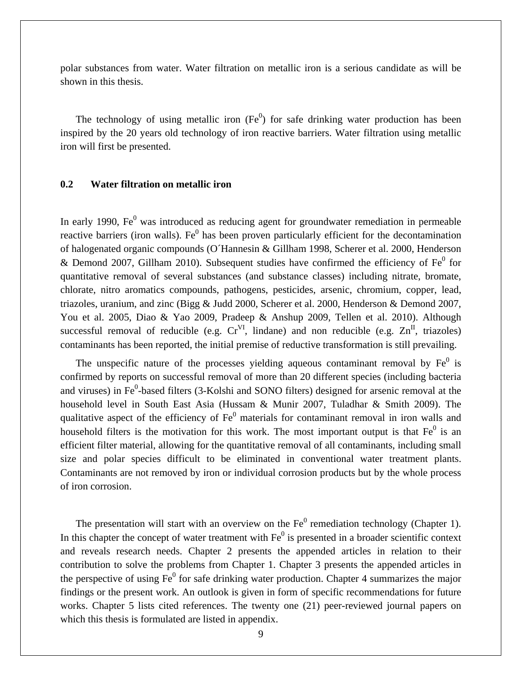polar substances from water. Water filtration on metallic iron is a serious candidate as will be shown in this thesis.

The technology of using metallic iron  $(Fe<sup>0</sup>)$  for safe drinking water production has been inspired by the 20 years old technology of iron reactive barriers. Water filtration using metallic iron will first be presented.

#### **0.2 Water filtration on metallic iron**

In early 1990,  $Fe<sup>0</sup>$  was introduced as reducing agent for groundwater remediation in permeable reactive barriers (iron walls). Fe<sup> $0$ </sup> has been proven particularly efficient for the decontamination of halogenated organic compounds (O´Hannesin & Gillham 1998, Scherer et al. 2000, Henderson & Demond 2007, Gillham 2010). Subsequent studies have confirmed the efficiency of  $Fe<sup>0</sup>$  for quantitative removal of several substances (and substance classes) including nitrate, bromate, chlorate, nitro aromatics compounds, pathogens, pesticides, arsenic, chromium, copper, lead, triazoles, uranium, and zinc (Bigg & Judd 2000, Scherer et al. 2000, Henderson & Demond 2007, You et al. 2005, Diao & Yao 2009, Pradeep & Anshup 2009, Tellen et al. 2010). Although successful removal of reducible (e.g.  $Cr^{VI}$ , lindane) and non reducible (e.g.  $Zn^{II}$ , triazoles) contaminants has been reported, the initial premise of reductive transformation is still prevailing.

The unspecific nature of the processes yielding aqueous contaminant removal by  $Fe<sup>0</sup>$  is confirmed by reports on successful removal of more than 20 different species (including bacteria and viruses) in  $Fe<sup>0</sup>$ -based filters (3-Kolshi and SONO filters) designed for arsenic removal at the household level in South East Asia (Hussam & Munir 2007, Tuladhar & Smith 2009). The qualitative aspect of the efficiency of  $Fe<sup>0</sup>$  materials for contaminant removal in iron walls and household filters is the motivation for this work. The most important output is that  $Fe<sup>0</sup>$  is an efficient filter material, allowing for the quantitative removal of all contaminants, including small size and polar species difficult to be eliminated in conventional water treatment plants. Contaminants are not removed by iron or individual corrosion products but by the whole process of iron corrosion.

The presentation will start with an overview on the  $Fe<sup>0</sup>$  remediation technology (Chapter 1). In this chapter the concept of water treatment with  $Fe<sup>0</sup>$  is presented in a broader scientific context and reveals research needs. Chapter 2 presents the appended articles in relation to their contribution to solve the problems from Chapter 1. Chapter 3 presents the appended articles in the perspective of using  $Fe<sup>0</sup>$  for safe drinking water production. Chapter 4 summarizes the major findings or the present work. An outlook is given in form of specific recommendations for future works. Chapter 5 lists cited references. The twenty one (21) peer-reviewed journal papers on which this thesis is formulated are listed in appendix.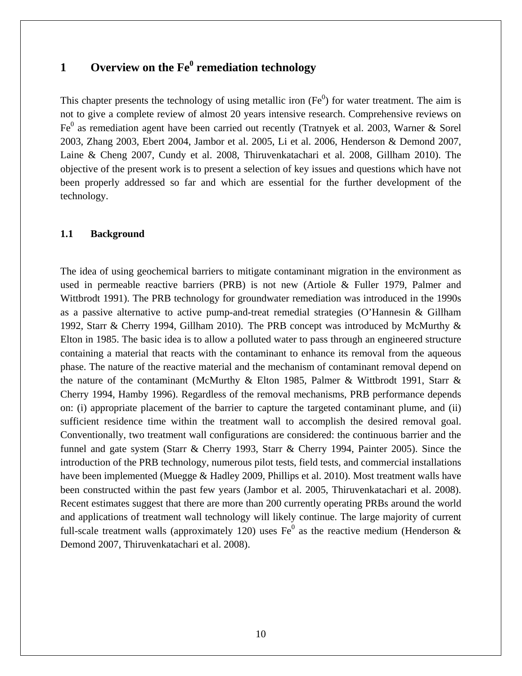# **1** Overview on the Fe<sup>0</sup> remediation technology

This chapter presents the technology of using metallic iron  $(Fe<sup>0</sup>)$  for water treatment. The aim is not to give a complete review of almost 20 years intensive research. Comprehensive reviews on Fe<sup>0</sup> as remediation agent have been carried out recently (Tratnyek et al. 2003, Warner & Sorel 2003, Zhang 2003, Ebert 2004, Jambor et al. 2005, Li et al. 2006, Henderson & Demond 2007, Laine & Cheng 2007, Cundy et al. 2008, Thiruvenkatachari et al. 2008, Gillham 2010). The objective of the present work is to present a selection of key issues and questions which have not been properly addressed so far and which are essential for the further development of the technology.

#### **1.1 Background**

The idea of using geochemical barriers to mitigate contaminant migration in the environment as used in permeable reactive barriers (PRB) is not new (Artiole & Fuller 1979, Palmer and Wittbrodt 1991). The PRB technology for groundwater remediation was introduced in the 1990s as a passive alternative to active pump-and-treat remedial strategies (O'Hannesin & Gillham 1992, Starr & Cherry 1994, Gillham 2010). The PRB concept was introduced by McMurthy & Elton in 1985. The basic idea is to allow a polluted water to pass through an engineered structure containing a material that reacts with the contaminant to enhance its removal from the aqueous phase. The nature of the reactive material and the mechanism of contaminant removal depend on the nature of the contaminant (McMurthy & Elton 1985, Palmer & Wittbrodt 1991, Starr & Cherry 1994, Hamby 1996). Regardless of the removal mechanisms, PRB performance depends on: (i) appropriate placement of the barrier to capture the targeted contaminant plume, and (ii) sufficient residence time within the treatment wall to accomplish the desired removal goal. Conventionally, two treatment wall configurations are considered: the continuous barrier and the funnel and gate system (Starr & Cherry 1993, Starr & Cherry 1994, Painter 2005). Since the introduction of the PRB technology, numerous pilot tests, field tests, and commercial installations have been implemented (Muegge & Hadley 2009, Phillips et al. 2010). Most treatment walls have been constructed within the past few years (Jambor et al. 2005, Thiruvenkatachari et al. 2008). Recent estimates suggest that there are more than 200 currently operating PRBs around the world and applications of treatment wall technology will likely continue. The large majority of current full-scale treatment walls (approximately 120) uses  $Fe<sup>0</sup>$  as the reactive medium (Henderson & Demond 2007, Thiruvenkatachari et al. 2008).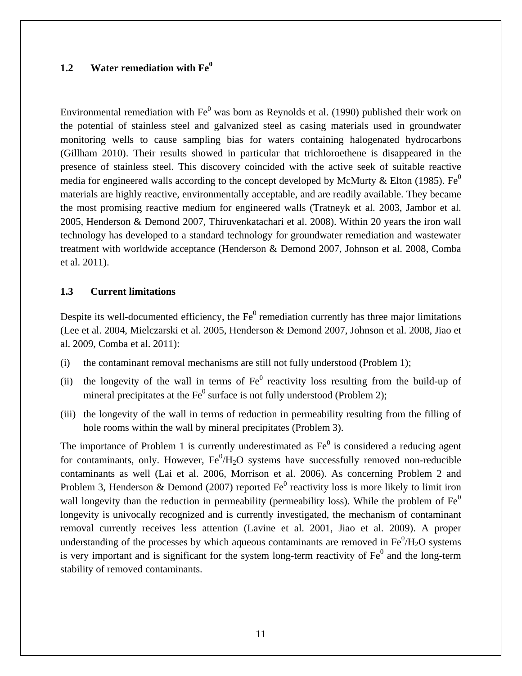# **1.2 Water remediation with Fe<sup>0</sup>**

Environmental remediation with  $Fe<sup>0</sup>$  was born as Reynolds et al. (1990) published their work on the potential of stainless steel and galvanized steel as casing materials used in groundwater monitoring wells to cause sampling bias for waters containing halogenated hydrocarbons (Gillham 2010). Their results showed in particular that trichloroethene is disappeared in the presence of stainless steel. This discovery coincided with the active seek of suitable reactive media for engineered walls according to the concept developed by McMurty & Elton (1985). Fe<sup>0</sup> materials are highly reactive, environmentally acceptable, and are readily available. They became the most promising reactive medium for engineered walls (Tratneyk et al. 2003, Jambor et al. 2005, Henderson & Demond 2007, Thiruvenkatachari et al. 2008). Within 20 years the iron wall technology has developed to a standard technology for groundwater remediation and wastewater treatment with worldwide acceptance (Henderson & Demond 2007, Johnson et al. 2008, Comba et al. 2011).

#### **1.3 Current limitations**

Despite its well-documented efficiency, the  $Fe<sup>0</sup>$  remediation currently has three major limitations (Lee et al. 2004, Mielczarski et al. 2005, Henderson & Demond 2007, Johnson et al. 2008, Jiao et al. 2009, Comba et al. 2011):

- (i) the contaminant removal mechanisms are still not fully understood (Problem 1);
- (ii) the longevity of the wall in terms of  $Fe<sup>0</sup>$  reactivity loss resulting from the build-up of mineral precipitates at the  $Fe<sup>0</sup>$  surface is not fully understood (Problem 2);
- (iii) the longevity of the wall in terms of reduction in permeability resulting from the filling of hole rooms within the wall by mineral precipitates (Problem 3).

The importance of Problem 1 is currently underestimated as  $Fe<sup>0</sup>$  is considered a reducing agent for contaminants, only. However,  $Fe^{0}/H_{2}O$  systems have successfully removed non-reducible contaminants as well (Lai et al. 2006, Morrison et al. 2006). As concerning Problem 2 and Problem 3, Henderson & Demond (2007) reported  $Fe<sup>0</sup>$  reactivity loss is more likely to limit iron wall longevity than the reduction in permeability (permeability loss). While the problem of  $Fe<sup>0</sup>$ longevity is univocally recognized and is currently investigated, the mechanism of contaminant removal currently receives less attention (Lavine et al. 2001, Jiao et al. 2009). A proper understanding of the processes by which aqueous contaminants are removed in  $Fe^{0}/H_{2}O$  systems is very important and is significant for the system long-term reactivity of  $Fe<sup>0</sup>$  and the long-term stability of removed contaminants.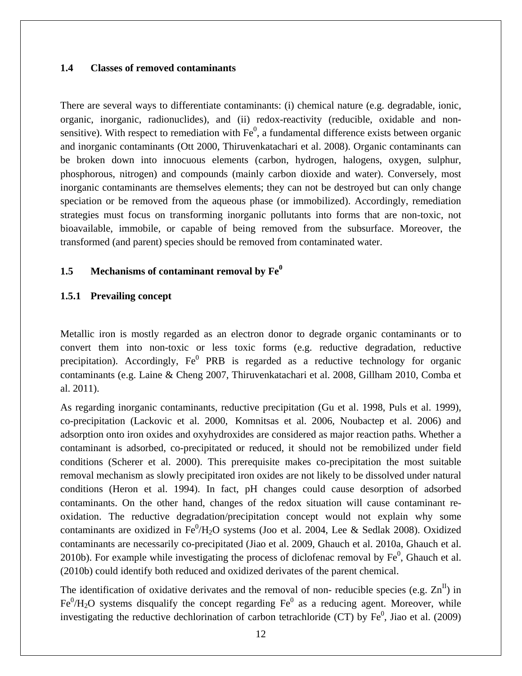#### **1.4 Classes of removed contaminants**

There are several ways to differentiate contaminants: (i) chemical nature (e.g. degradable, ionic, organic, inorganic, radionuclides), and (ii) redox-reactivity (reducible, oxidable and nonsensitive). With respect to remediation with  $Fe<sup>0</sup>$ , a fundamental difference exists between organic and inorganic contaminants (Ott 2000, Thiruvenkatachari et al. 2008). Organic contaminants can be broken down into innocuous elements (carbon, hydrogen, halogens, oxygen, sulphur, phosphorous, nitrogen) and compounds (mainly carbon dioxide and water). Conversely, most inorganic contaminants are themselves elements; they can not be destroyed but can only change speciation or be removed from the aqueous phase (or immobilized). Accordingly, remediation strategies must focus on transforming inorganic pollutants into forms that are non-toxic, not bioavailable, immobile, or capable of being removed from the subsurface. Moreover, the transformed (and parent) species should be removed from contaminated water.

#### **1.5 Mechanisms of contaminant removal by Fe0**

#### **1.5.1 Prevailing concept**

Metallic iron is mostly regarded as an electron donor to degrade organic contaminants or to convert them into non-toxic or less toxic forms (e.g. reductive degradation, reductive precipitation). Accordingly,  $Fe<sup>0</sup>$  PRB is regarded as a reductive technology for organic contaminants (e.g. Laine & Cheng 2007, Thiruvenkatachari et al. 2008, Gillham 2010, Comba et al. 2011).

As regarding inorganic contaminants, reductive precipitation (Gu et al. 1998, Puls et al. 1999), co-precipitation (Lackovic et al. 2000, Komnitsas et al. 2006, Noubactep et al. 2006) and adsorption onto iron oxides and oxyhydroxides are considered as major reaction paths. Whether a contaminant is adsorbed, co-precipitated or reduced, it should not be remobilized under field conditions (Scherer et al. 2000). This prerequisite makes co-precipitation the most suitable removal mechanism as slowly precipitated iron oxides are not likely to be dissolved under natural conditions (Heron et al. 1994). In fact, pH changes could cause desorption of adsorbed contaminants. On the other hand, changes of the redox situation will cause contaminant reoxidation. The reductive degradation/precipitation concept would not explain why some contaminants are oxidized in  $Fe^{0}/H_{2}O$  systems (Joo et al. 2004, Lee & Sedlak 2008). Oxidized contaminants are necessarily co-precipitated (Jiao et al. 2009, Ghauch et al. 2010a, Ghauch et al. 2010b). For example while investigating the process of diclofenac removal by  $Fe<sup>0</sup>$ , Ghauch et al. (2010b) could identify both reduced and oxidized derivates of the parent chemical.

The identification of oxidative derivates and the removal of non- reducible species (e.g.  $\text{Zn}^{\text{II}}$ ) in  $Fe^{0}/H_{2}O$  systems disqualify the concept regarding  $Fe^{0}$  as a reducing agent. Moreover, while investigating the reductive dechlorination of carbon tetrachloride (CT) by  $Fe<sup>0</sup>$ , Jiao et al. (2009)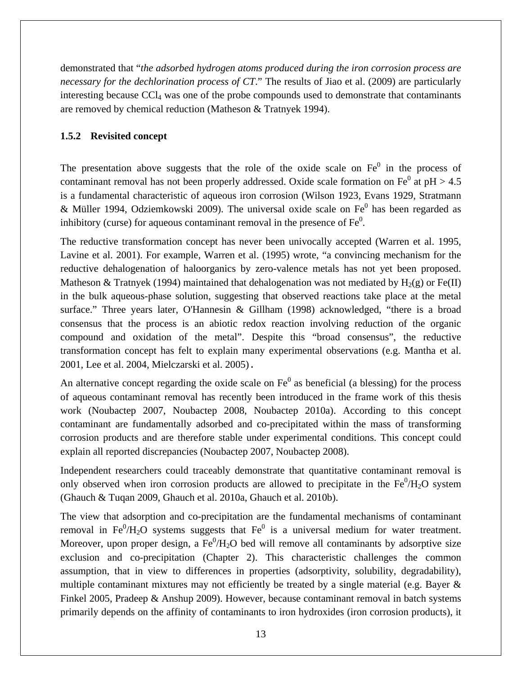demonstrated that "*the adsorbed hydrogen atoms produced during the iron corrosion process are necessary for the dechlorination process of CT*." The results of Jiao et al. (2009) are particularly interesting because CCl<sub>4</sub> was one of the probe compounds used to demonstrate that contaminants are removed by chemical reduction (Matheson & Tratnyek 1994).

## **1.5.2 Revisited concept**

The presentation above suggests that the role of the oxide scale on  $Fe<sup>0</sup>$  in the process of contaminant removal has not been properly addressed. Oxide scale formation on  $Fe<sup>0</sup>$  at pH > 4.5 is a fundamental characteristic of aqueous iron corrosion (Wilson 1923, Evans 1929, Stratmann & Müller 1994, Odziemkowski 2009). The universal oxide scale on  $Fe<sup>0</sup>$  has been regarded as inhibitory (curse) for aqueous contaminant removal in the presence of  $Fe<sup>0</sup>$ .

The reductive transformation concept has never been univocally accepted (Warren et al. 1995, Lavine et al. 2001). For example, Warren et al. (1995) wrote, "a convincing mechanism for the reductive dehalogenation of haloorganics by zero-valence metals has not yet been proposed. Matheson & Tratnyek (1994) maintained that dehalogenation was not mediated by  $H_2(g)$  or Fe(II) in the bulk aqueous-phase solution, suggesting that observed reactions take place at the metal surface." Three years later, O'Hannesin & Gillham (1998) acknowledged, "there is a broad consensus that the process is an abiotic redox reaction involving reduction of the organic compound and oxidation of the metal". Despite this "broad consensus", the reductive transformation concept has felt to explain many experimental observations (e.g. Mantha et al. 2001, Lee et al. 2004, Mielczarski et al. 2005).

An alternative concept regarding the oxide scale on  $Fe<sup>0</sup>$  as beneficial (a blessing) for the process of aqueous contaminant removal has recently been introduced in the frame work of this thesis work (Noubactep 2007, Noubactep 2008, Noubactep 2010a). According to this concept contaminant are fundamentally adsorbed and co-precipitated within the mass of transforming corrosion products and are therefore stable under experimental conditions. This concept could explain all reported discrepancies (Noubactep 2007, Noubactep 2008).

Independent researchers could traceably demonstrate that quantitative contaminant removal is only observed when iron corrosion products are allowed to precipitate in the  $Fe^0/H_2O$  system (Ghauch & Tuqan 2009, Ghauch et al. 2010a, Ghauch et al. 2010b).

The view that adsorption and co-precipitation are the fundamental mechanisms of contaminant removal in  $Fe^{0}/H_{2}O$  systems suggests that  $Fe^{0}$  is a universal medium for water treatment. Moreover, upon proper design, a  $Fe^{0}/H_{2}O$  bed will remove all contaminants by adsorptive size exclusion and co-precipitation (Chapter 2). This characteristic challenges the common assumption, that in view to differences in properties (adsorptivity, solubility, degradability), multiple contaminant mixtures may not efficiently be treated by a single material (e.g. Bayer  $\&$ Finkel 2005, Pradeep & Anshup 2009). However, because contaminant removal in batch systems primarily depends on the affinity of contaminants to iron hydroxides (iron corrosion products), it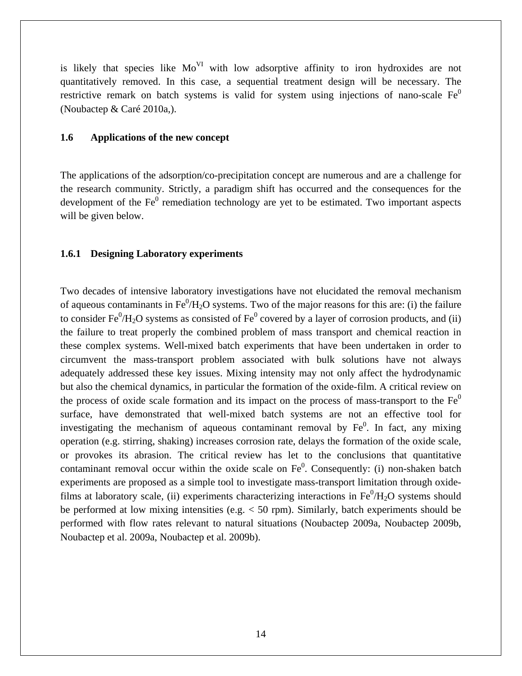is likely that species like  $Mo<sup>VI</sup>$  with low adsorptive affinity to iron hydroxides are not quantitatively removed. In this case, a sequential treatment design will be necessary. The restrictive remark on batch systems is valid for system using injections of nano-scale  $Fe<sup>0</sup>$ (Noubactep & Caré 2010a,).

#### **1.6 Applications of the new concept**

The applications of the adsorption/co-precipitation concept are numerous and are a challenge for the research community. Strictly, a paradigm shift has occurred and the consequences for the development of the  $Fe<sup>0</sup>$  remediation technology are yet to be estimated. Two important aspects will be given below.

#### **1.6.1 Designing Laboratory experiments**

Two decades of intensive laboratory investigations have not elucidated the removal mechanism of aqueous contaminants in  $Fe^{0}/H_{2}O$  systems. Two of the major reasons for this are: (i) the failure to consider  $\text{Fe}^0/\text{H}_2\text{O}$  systems as consisted of  $\text{Fe}^0$  covered by a layer of corrosion products, and (ii) the failure to treat properly the combined problem of mass transport and chemical reaction in these complex systems. Well-mixed batch experiments that have been undertaken in order to circumvent the mass-transport problem associated with bulk solutions have not always adequately addressed these key issues. Mixing intensity may not only affect the hydrodynamic but also the chemical dynamics, in particular the formation of the oxide-film. A critical review on the process of oxide scale formation and its impact on the process of mass-transport to the  $Fe<sup>0</sup>$ surface, have demonstrated that well-mixed batch systems are not an effective tool for investigating the mechanism of aqueous contaminant removal by  $Fe<sup>0</sup>$ . In fact, any mixing operation (e.g. stirring, shaking) increases corrosion rate, delays the formation of the oxide scale, or provokes its abrasion. The critical review has let to the conclusions that quantitative contaminant removal occur within the oxide scale on  $Fe<sup>0</sup>$ . Consequently: (i) non-shaken batch experiments are proposed as a simple tool to investigate mass-transport limitation through oxidefilms at laboratory scale, (ii) experiments characterizing interactions in  $Fe^0/H_2O$  systems should be performed at low mixing intensities (e.g. < 50 rpm). Similarly, batch experiments should be performed with flow rates relevant to natural situations (Noubactep 2009a, Noubactep 2009b, Noubactep et al. 2009a, Noubactep et al. 2009b).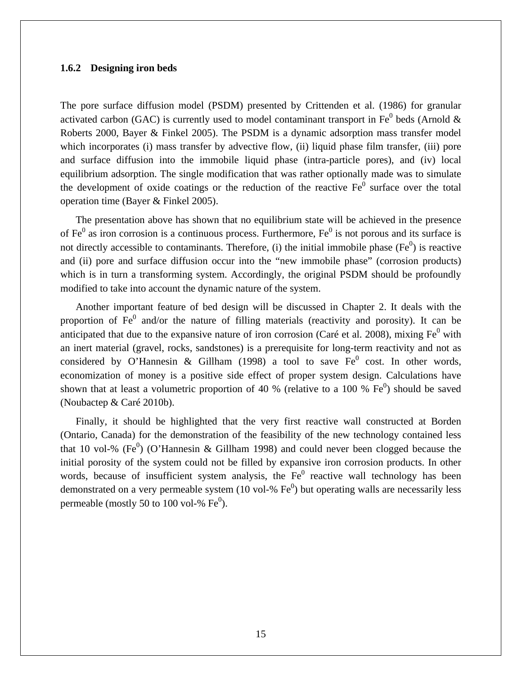#### **1.6.2 Designing iron beds**

The pore surface diffusion model (PSDM) presented by Crittenden et al. (1986) for granular activated carbon (GAC) is currently used to model contaminant transport in Fe<sup>0</sup> beds (Arnold & Roberts 2000, Bayer & Finkel 2005). The PSDM is a dynamic adsorption mass transfer model which incorporates (i) mass transfer by advective flow, (ii) liquid phase film transfer, (iii) pore and surface diffusion into the immobile liquid phase (intra-particle pores), and (iv) local equilibrium adsorption. The single modification that was rather optionally made was to simulate the development of oxide coatings or the reduction of the reactive  $Fe<sup>0</sup>$  surface over the total operation time (Bayer & Finkel 2005).

The presentation above has shown that no equilibrium state will be achieved in the presence of  $Fe<sup>0</sup>$  as iron corrosion is a continuous process. Furthermore,  $Fe<sup>0</sup>$  is not porous and its surface is not directly accessible to contaminants. Therefore, (i) the initial immobile phase ( $Fe<sup>0</sup>$ ) is reactive and (ii) pore and surface diffusion occur into the "new immobile phase" (corrosion products) which is in turn a transforming system. Accordingly, the original PSDM should be profoundly modified to take into account the dynamic nature of the system.

Another important feature of bed design will be discussed in Chapter 2. It deals with the proportion of  $Fe<sup>0</sup>$  and/or the nature of filling materials (reactivity and porosity). It can be anticipated that due to the expansive nature of iron corrosion (Caré et al. 2008), mixing  $Fe<sup>0</sup>$  with an inert material (gravel, rocks, sandstones) is a prerequisite for long-term reactivity and not as considered by O'Hannesin & Gillham (1998) a tool to save  $Fe^0$  cost. In other words, economization of money is a positive side effect of proper system design. Calculations have shown that at least a volumetric proportion of 40 % (relative to a 100 %  $Fe<sup>0</sup>$ ) should be saved (Noubactep & Caré 2010b).

Finally, it should be highlighted that the very first reactive wall constructed at Borden (Ontario, Canada) for the demonstration of the feasibility of the new technology contained less that 10 vol-% (Fe<sup>0</sup>) (O'Hannesin & Gillham 1998) and could never been clogged because the initial porosity of the system could not be filled by expansive iron corrosion products. In other words, because of insufficient system analysis, the  $Fe<sup>0</sup>$  reactive wall technology has been demonstrated on a very permeable system (10 vol-%  $Fe<sup>0</sup>$ ) but operating walls are necessarily less permeable (mostly 50 to 100 vol-%  $Fe<sup>0</sup>$ ).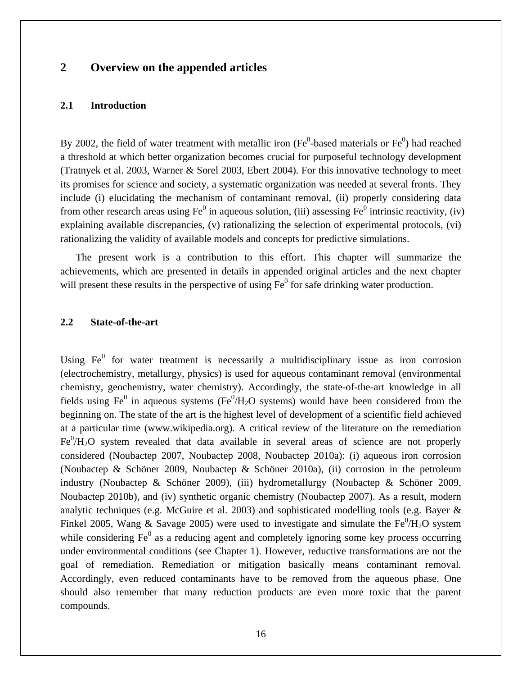# **2 Overview on the appended articles**

#### **2.1 Introduction**

By 2002, the field of water treatment with metallic iron (Fe<sup>0</sup>-based materials or Fe<sup>0</sup>) had reached a threshold at which better organization becomes crucial for purposeful technology development (Tratnyek et al. 2003, Warner & Sorel 2003, Ebert 2004). For this innovative technology to meet its promises for science and society, a systematic organization was needed at several fronts. They include (i) elucidating the mechanism of contaminant removal, (ii) properly considering data from other research areas using  $Fe^0$  in aqueous solution, (iii) assessing  $Fe^0$  intrinsic reactivity, (iv) explaining available discrepancies, (v) rationalizing the selection of experimental protocols, (vi) rationalizing the validity of available models and concepts for predictive simulations.

The present work is a contribution to this effort. This chapter will summarize the achievements, which are presented in details in appended original articles and the next chapter will present these results in the perspective of using  $Fe<sup>0</sup>$  for safe drinking water production.

#### **2.2 State-of-the-art**

Using  $Fe<sup>0</sup>$  for water treatment is necessarily a multidisciplinary issue as iron corrosion (electrochemistry, metallurgy, physics) is used for aqueous contaminant removal (environmental chemistry, geochemistry, water chemistry). Accordingly, the state-of-the-art knowledge in all fields using Fe<sup>0</sup> in aqueous systems (Fe<sup>0</sup>/H<sub>2</sub>O systems) would have been considered from the beginning on. The state of the art is the highest level of development of a scientific field achieved at a particular time (www.wikipedia.org). A critical review of the literature on the remediation  $Fe^{0}/H_{2}O$  system revealed that data available in several areas of science are not properly considered (Noubactep 2007, Noubactep 2008, Noubactep 2010a): (i) aqueous iron corrosion (Noubactep & Schöner 2009, Noubactep & Schöner 2010a), (ii) corrosion in the petroleum industry (Noubactep & Schöner 2009), (iii) hydrometallurgy (Noubactep & Schöner 2009, Noubactep 2010b), and (iv) synthetic organic chemistry (Noubactep 2007). As a result, modern analytic techniques (e.g. McGuire et al. 2003) and sophisticated modelling tools (e.g. Bayer & Finkel 2005, Wang & Savage 2005) were used to investigate and simulate the  $Fe^0/H_2O$  system while considering  $Fe<sup>0</sup>$  as a reducing agent and completely ignoring some key process occurring under environmental conditions (see Chapter 1). However, reductive transformations are not the goal of remediation. Remediation or mitigation basically means contaminant removal. Accordingly, even reduced contaminants have to be removed from the aqueous phase. One should also remember that many reduction products are even more toxic that the parent compounds.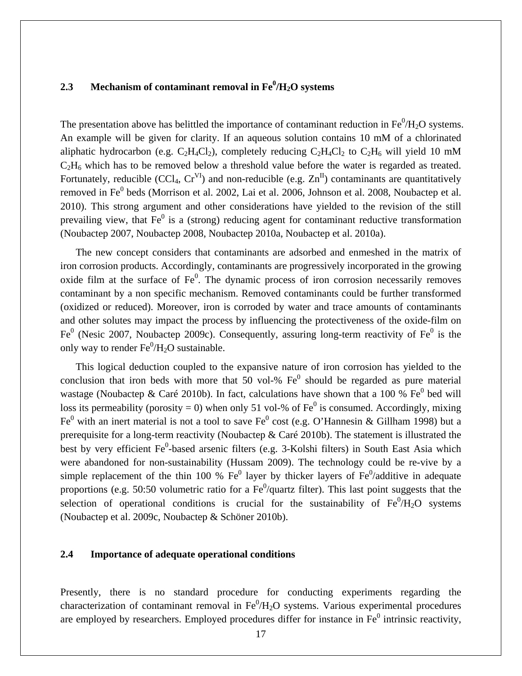# 2.3 Mechanism of contaminant removal in Fe<sup>0</sup>/H<sub>2</sub>O systems

The presentation above has belittled the importance of contaminant reduction in  $\text{Fe}^0/\text{H}_2\text{O}$  systems. An example will be given for clarity. If an aqueous solution contains 10 mM of a chlorinated aliphatic hydrocarbon (e.g.  $C_2H_4Cl_2$ ), completely reducing  $C_2H_4Cl_2$  to  $C_2H_6$  will yield 10 mM  $C_2H_6$  which has to be removed below a threshold value before the water is regarded as treated. Fortunately, reducible (CCl<sub>4</sub>,  $Cr^{VI}$ ) and non-reducible (e.g.  $Zn^{II}$ ) contaminants are quantitatively removed in Fe<sup>0</sup> beds (Morrison et al. 2002, Lai et al. 2006, Johnson et al. 2008, Noubactep et al. 2010). This strong argument and other considerations have yielded to the revision of the still prevailing view, that  $Fe<sup>0</sup>$  is a (strong) reducing agent for contaminant reductive transformation (Noubactep 2007, Noubactep 2008, Noubactep 2010a, Noubactep et al. 2010a).

The new concept considers that contaminants are adsorbed and enmeshed in the matrix of iron corrosion products. Accordingly, contaminants are progressively incorporated in the growing oxide film at the surface of  $Fe<sup>0</sup>$ . The dynamic process of iron corrosion necessarily removes contaminant by a non specific mechanism. Removed contaminants could be further transformed (oxidized or reduced). Moreover, iron is corroded by water and trace amounts of contaminants and other solutes may impact the process by influencing the protectiveness of the oxide-film on Fe<sup>0</sup> (Nesic 2007, Noubactep 2009c). Consequently, assuring long-term reactivity of Fe<sup>0</sup> is the only way to render  $\text{Fe}^0/\text{H}_2\text{O}$  sustainable.

This logical deduction coupled to the expansive nature of iron corrosion has yielded to the conclusion that iron beds with more that 50 vol-%  $Fe<sup>0</sup>$  should be regarded as pure material wastage (Noubactep & Caré 2010b). In fact, calculations have shown that a 100 %  $Fe<sup>0</sup>$  bed will loss its permeability (porosity = 0) when only 51 vol-% of  $Fe<sup>0</sup>$  is consumed. Accordingly, mixing Fe<sup>0</sup> with an inert material is not a tool to save Fe<sup>0</sup> cost (e.g. O'Hannesin & Gillham 1998) but a prerequisite for a long-term reactivity (Noubactep & Caré 2010b). The statement is illustrated the best by very efficient Fe<sup>0</sup>-based arsenic filters (e.g. 3-Kolshi filters) in South East Asia which were abandoned for non-sustainability (Hussam 2009). The technology could be re-vive by a simple replacement of the thin 100 %  $\text{Fe}^0$  layer by thicker layers of  $\text{Fe}^0$ /additive in adequate proportions (e.g. 50:50 volumetric ratio for a  $Fe<sup>0</sup>/quartz$  filter). This last point suggests that the selection of operational conditions is crucial for the sustainability of  $Fe^0/H_2O$  systems (Noubactep et al. 2009c, Noubactep & Schöner 2010b).

#### **2.4 Importance of adequate operational conditions**

Presently, there is no standard procedure for conducting experiments regarding the characterization of contaminant removal in  $Fe^0/H_2O$  systems. Various experimental procedures are employed by researchers. Employed procedures differ for instance in  $Fe<sup>0</sup>$  intrinsic reactivity,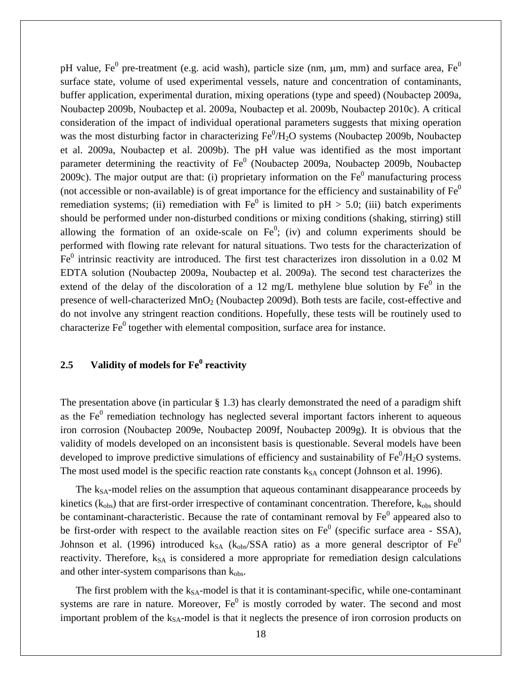pH value, Fe<sup>0</sup> pre-treatment (e.g. acid wash), particle size (nm,  $\mu$ m, mm) and surface area, Fe<sup>0</sup> surface state, volume of used experimental vessels, nature and concentration of contaminants, buffer application, experimental duration, mixing operations (type and speed) (Noubactep 2009a, Noubactep 2009b, Noubactep et al. 2009a, Noubactep et al. 2009b, Noubactep 2010c). A critical consideration of the impact of individual operational parameters suggests that mixing operation was the most disturbing factor in characterizing  $Fe^{0}/H_{2}O$  systems (Noubactep 2009b, Noubactep et al. 2009a, Noubactep et al. 2009b). The pH value was identified as the most important parameter determining the reactivity of  $Fe<sup>0</sup>$  (Noubactep 2009a, Noubactep 2009b, Noubactep 2009c). The major output are that: (i) proprietary information on the  $Fe<sup>0</sup>$  manufacturing process (not accessible or non-available) is of great importance for the efficiency and sustainability of  $Fe<sup>0</sup>$ remediation systems; (ii) remediation with  $Fe<sup>0</sup>$  is limited to pH > 5.0; (iii) batch experiments should be performed under non-disturbed conditions or mixing conditions (shaking, stirring) still allowing the formation of an oxide-scale on  $Fe<sup>0</sup>$ ; (iv) and column experiments should be performed with flowing rate relevant for natural situations. Two tests for the characterization of  $Fe<sup>0</sup>$  intrinsic reactivity are introduced. The first test characterizes iron dissolution in a 0.02 M EDTA solution (Noubactep 2009a, Noubactep et al. 2009a). The second test characterizes the extend of the delay of the discoloration of a 12 mg/L methylene blue solution by  $Fe<sup>0</sup>$  in the presence of well-characterized MnO<sub>2</sub> (Noubactep 2009d). Both tests are facile, cost-effective and do not involve any stringent reaction conditions. Hopefully, these tests will be routinely used to characterize  $Fe<sup>0</sup>$  together with elemental composition, surface area for instance.

# **2.5 Validity of models for Fe<sup>0</sup> reactivity**

The presentation above (in particular  $\S$  1.3) has clearly demonstrated the need of a paradigm shift as the  $Fe<sup>0</sup>$  remediation technology has neglected several important factors inherent to aqueous iron corrosion (Noubactep 2009e, Noubactep 2009f, Noubactep 2009g). It is obvious that the validity of models developed on an inconsistent basis is questionable. Several models have been developed to improve predictive simulations of efficiency and sustainability of  $Fe^{0}/H_{2}O$  systems. The most used model is the specific reaction rate constants  $k_{SA}$  concept (Johnson et al. 1996).

The  $k_{SA}$ -model relies on the assumption that aqueous contaminant disappearance proceeds by kinetics ( $k_{obs}$ ) that are first-order irrespective of contaminant concentration. Therefore,  $k_{obs}$  should be contaminant-characteristic. Because the rate of contaminant removal by  $Fe<sup>0</sup>$  appeared also to be first-order with respect to the available reaction sites on  $Fe<sup>0</sup>$  (specific surface area - SSA), Johnson et al. (1996) introduced  $k_{SA}$  ( $k_{obs}/SSA$  ratio) as a more general descriptor of  $Fe<sup>0</sup>$ reactivity. Therefore,  $k_{SA}$  is considered a more appropriate for remediation design calculations and other inter-system comparisons than  $k_{obs}$ .

The first problem with the  $k_{SA}$ -model is that it is contaminant-specific, while one-contaminant systems are rare in nature. Moreover,  $Fe<sup>0</sup>$  is mostly corroded by water. The second and most important problem of the k<sub>SA</sub>-model is that it neglects the presence of iron corrosion products on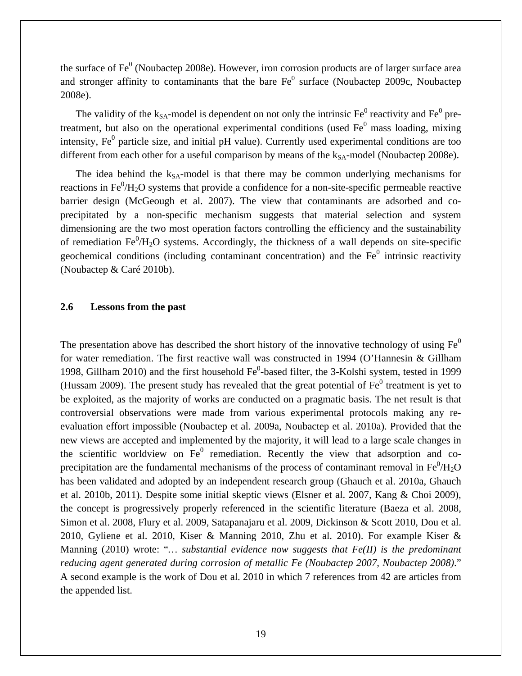the surface of  $Fe<sup>0</sup>$  (Noubactep 2008e). However, iron corrosion products are of larger surface area and stronger affinity to contaminants that the bare  $Fe<sup>0</sup>$  surface (Noubactep 2009c, Noubactep 2008e).

The validity of the  $k_{SA}$ -model is dependent on not only the intrinsic  $Fe^0$  reactivity and  $Fe^0$  pretreatment, but also on the operational experimental conditions (used  $Fe<sup>0</sup>$  mass loading, mixing intensity,  $Fe<sup>0</sup>$  particle size, and initial pH value). Currently used experimental conditions are too different from each other for a useful comparison by means of the  $k_{SA}$ -model (Noubactep 2008e).

The idea behind the  $k_{SA}$ -model is that there may be common underlying mechanisms for reactions in  $Fe^{0}/H_{2}O$  systems that provide a confidence for a non-site-specific permeable reactive barrier design (McGeough et al. 2007). The view that contaminants are adsorbed and coprecipitated by a non-specific mechanism suggests that material selection and system dimensioning are the two most operation factors controlling the efficiency and the sustainability of remediation  $Fe^{0}/H_{2}O$  systems. Accordingly, the thickness of a wall depends on site-specific geochemical conditions (including contaminant concentration) and the  $Fe<sup>0</sup>$  intrinsic reactivity (Noubactep & Caré 2010b).

#### **2.6 Lessons from the past**

The presentation above has described the short history of the innovative technology of using  $Fe<sup>0</sup>$ for water remediation. The first reactive wall was constructed in 1994 (O'Hannesin & Gillham 1998, Gillham 2010) and the first household Fe<sup>0</sup>-based filter, the 3-Kolshi system, tested in 1999 (Hussam 2009). The present study has revealed that the great potential of  $Fe<sup>0</sup>$  treatment is yet to be exploited, as the majority of works are conducted on a pragmatic basis. The net result is that controversial observations were made from various experimental protocols making any reevaluation effort impossible (Noubactep et al. 2009a, Noubactep et al. 2010a). Provided that the new views are accepted and implemented by the majority, it will lead to a large scale changes in the scientific worldview on  $Fe<sup>0</sup>$  remediation. Recently the view that adsorption and coprecipitation are the fundamental mechanisms of the process of contaminant removal in  $Fe^{0}/H_{2}O$ has been validated and adopted by an independent research group (Ghauch et al. 2010a, Ghauch et al. 2010b, 2011). Despite some initial skeptic views (Elsner et al. 2007, Kang & Choi 2009), the concept is progressively properly referenced in the scientific literature (Baeza et al. 2008, Simon et al. 2008, Flury et al. 2009, Satapanajaru et al. 2009, Dickinson & Scott 2010, Dou et al. 2010, Gyliene et al. 2010, Kiser & Manning 2010, Zhu et al. 2010). For example Kiser & Manning (2010) wrote: "*… substantial evidence now suggests that Fe(II) is the predominant reducing agent generated during corrosion of metallic Fe (Noubactep 2007, Noubactep 2008)*." A second example is the work of Dou et al. 2010 in which 7 references from 42 are articles from the appended list.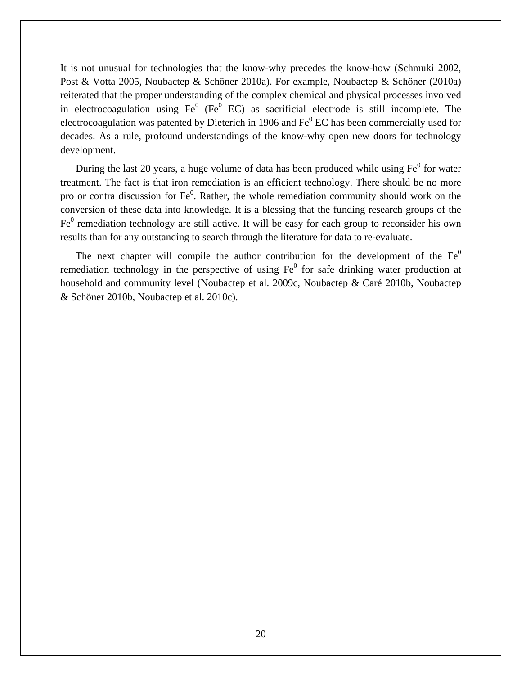It is not unusual for technologies that the know-why precedes the know-how (Schmuki 2002, Post & Votta 2005, Noubactep & Schöner 2010a). For example, Noubactep & Schöner (2010a) reiterated that the proper understanding of the complex chemical and physical processes involved in electrocoagulation using  $Fe<sup>0</sup>$  (Fe<sup>0</sup> EC) as sacrificial electrode is still incomplete. The electrocoagulation was patented by Dieterich in 1906 and  $Fe<sup>0</sup>$  EC has been commercially used for decades. As a rule, profound understandings of the know-why open new doors for technology development.

During the last 20 years, a huge volume of data has been produced while using  $Fe<sup>0</sup>$  for water treatment. The fact is that iron remediation is an efficient technology. There should be no more pro or contra discussion for  $Fe<sup>0</sup>$ . Rather, the whole remediation community should work on the conversion of these data into knowledge. It is a blessing that the funding research groups of the  $Fe<sup>0</sup>$  remediation technology are still active. It will be easy for each group to reconsider his own results than for any outstanding to search through the literature for data to re-evaluate.

The next chapter will compile the author contribution for the development of the  $Fe<sup>0</sup>$ remediation technology in the perspective of using  $Fe<sup>0</sup>$  for safe drinking water production at household and community level (Noubactep et al. 2009c, Noubactep & Caré 2010b, Noubactep & Schöner 2010b, Noubactep et al. 2010c).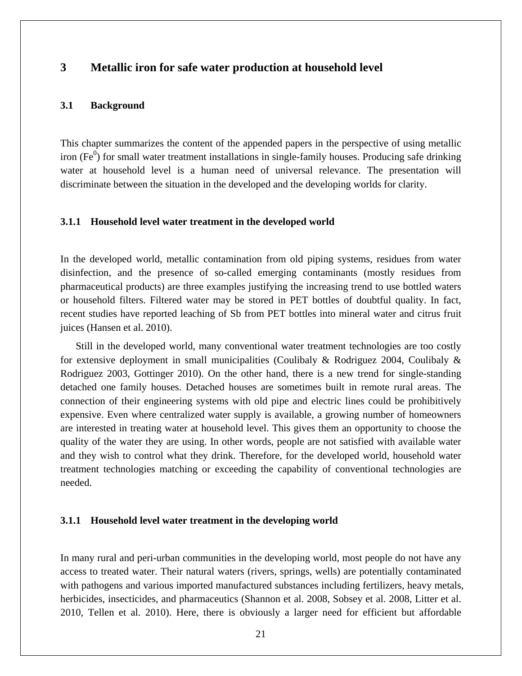# **3 Metallic iron for safe water production at household level**

#### **3.1 Background**

This chapter summarizes the content of the appended papers in the perspective of using metallic iron (Fe $\rm^{0}$ ) for small water treatment installations in single-family houses. Producing safe drinking water at household level is a human need of universal relevance. The presentation will discriminate between the situation in the developed and the developing worlds for clarity.

#### **3.1.1 Household level water treatment in the developed world**

In the developed world, metallic contamination from old piping systems, residues from water disinfection, and the presence of so-called emerging contaminants (mostly residues from pharmaceutical products) are three examples justifying the increasing trend to use bottled waters or household filters. Filtered water may be stored in PET bottles of doubtful quality. In fact, recent studies have reported leaching of Sb from PET bottles into mineral water and citrus fruit juices (Hansen et al. 2010).

Still in the developed world, many conventional water treatment technologies are too costly for extensive deployment in small municipalities (Coulibaly & Rodriguez 2004, Coulibaly & Rodriguez 2003, Gottinger 2010). On the other hand, there is a new trend for single-standing detached one family houses. Detached houses are sometimes built in remote rural areas. The connection of their engineering systems with old pipe and electric lines could be prohibitively expensive. Even where centralized water supply is available, a growing number of homeowners are interested in treating water at household level. This gives them an opportunity to choose the quality of the water they are using. In other words, people are not satisfied with available water and they wish to control what they drink. Therefore, for the developed world, household water treatment technologies matching or exceeding the capability of conventional technologies are needed.

#### **3.1.1 Household level water treatment in the developing world**

In many rural and peri-urban communities in the developing world, most people do not have any access to treated water. Their natural waters (rivers, springs, wells) are potentially contaminated with pathogens and various imported manufactured substances including fertilizers, heavy metals, herbicides, insecticides, and pharmaceutics (Shannon et al. 2008, Sobsey et al. 2008, Litter et al. 2010, Tellen et al. 2010). Here, there is obviously a larger need for efficient but affordable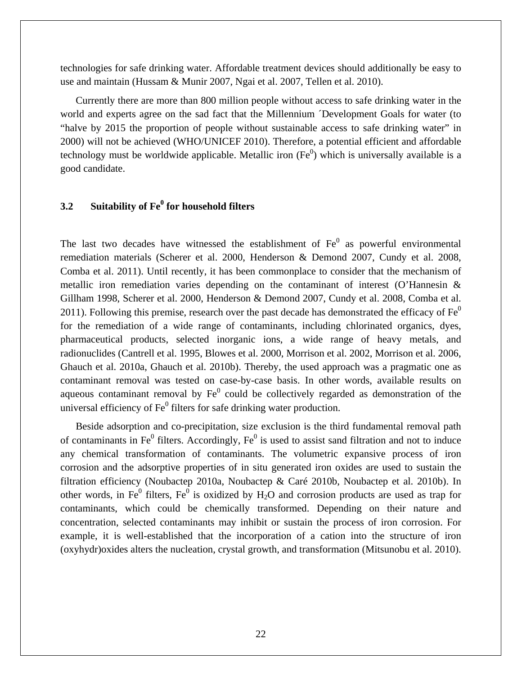technologies for safe drinking water. Affordable treatment devices should additionally be easy to use and maintain (Hussam & Munir 2007, Ngai et al. 2007, Tellen et al. 2010).

Currently there are more than 800 million people without access to safe drinking water in the world and experts agree on the sad fact that the Millennium ´Development Goals for water (to "halve by 2015 the proportion of people without sustainable access to safe drinking water" in 2000) will not be achieved (WHO/UNICEF 2010). Therefore, a potential efficient and affordable technology must be worldwide applicable. Metallic iron  $(Fe^0)$  which is universally available is a good candidate.

# **3.2 Suitability of Fe<sup>0</sup> for household filters**

The last two decades have witnessed the establishment of  $Fe<sup>0</sup>$  as powerful environmental remediation materials (Scherer et al. 2000, Henderson & Demond 2007, Cundy et al. 2008, Comba et al. 2011). Until recently, it has been commonplace to consider that the mechanism of metallic iron remediation varies depending on the contaminant of interest (O'Hannesin & Gillham 1998, Scherer et al. 2000, Henderson & Demond 2007, Cundy et al. 2008, Comba et al. 2011). Following this premise, research over the past decade has demonstrated the efficacy of  $Fe<sup>0</sup>$ for the remediation of a wide range of contaminants, including chlorinated organics, dyes, pharmaceutical products, selected inorganic ions, a wide range of heavy metals, and radionuclides (Cantrell et al. 1995, Blowes et al. 2000, Morrison et al. 2002, Morrison et al. 2006, Ghauch et al. 2010a, Ghauch et al. 2010b). Thereby, the used approach was a pragmatic one as contaminant removal was tested on case-by-case basis. In other words, available results on aqueous contaminant removal by  $Fe<sup>0</sup>$  could be collectively regarded as demonstration of the universal efficiency of  $\text{Fe}^0$  filters for safe drinking water production.

Beside adsorption and co-precipitation, size exclusion is the third fundamental removal path of contaminants in Fe $^0$  filters. Accordingly, Fe $^0$  is used to assist sand filtration and not to induce any chemical transformation of contaminants. The volumetric expansive process of iron corrosion and the adsorptive properties of in situ generated iron oxides are used to sustain the filtration efficiency (Noubactep 2010a, Noubactep & Caré 2010b, Noubactep et al. 2010b). In other words, in Fe<sup>0</sup> filters, Fe<sup>0</sup> is oxidized by  $H_2O$  and corrosion products are used as trap for contaminants, which could be chemically transformed. Depending on their nature and concentration, selected contaminants may inhibit or sustain the process of iron corrosion. For example, it is well-established that the incorporation of a cation into the structure of iron (oxyhydr)oxides alters the nucleation, crystal growth, and transformation (Mitsunobu et al. 2010).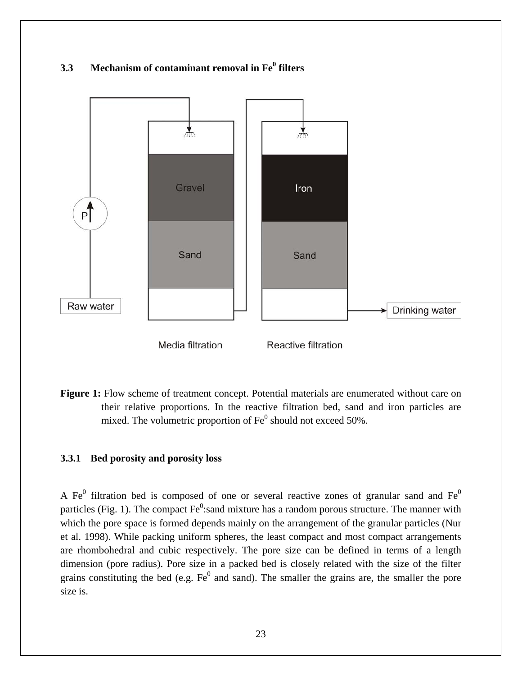

**Figure 1:** Flow scheme of treatment concept. Potential materials are enumerated without care on their relative proportions. In the reactive filtration bed, sand and iron particles are mixed. The volumetric proportion of  $Fe^0$  should not exceed 50%.

#### **3.3.1 Bed porosity and porosity loss**

A Fe<sup>0</sup> filtration bed is composed of one or several reactive zones of granular sand and Fe<sup>0</sup> particles (Fig. 1). The compact  $Fe^0$ : sand mixture has a random porous structure. The manner with which the pore space is formed depends mainly on the arrangement of the granular particles (Nur et al. 1998). While packing uniform spheres, the least compact and most compact arrangements are rhombohedral and cubic respectively. The pore size can be defined in terms of a length dimension (pore radius). Pore size in a packed bed is closely related with the size of the filter grains constituting the bed (e.g.  $Fe<sup>0</sup>$  and sand). The smaller the grains are, the smaller the pore size is.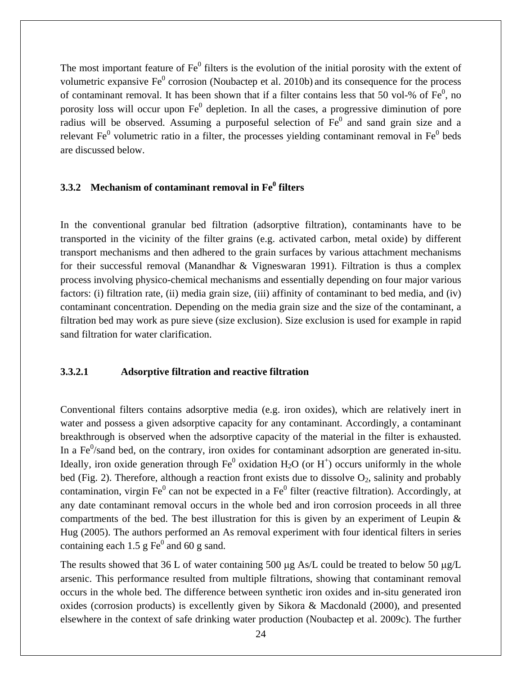The most important feature of  $Fe<sup>0</sup>$  filters is the evolution of the initial porosity with the extent of volumetric expansive  $Fe^0$  corrosion (Noubactep et al. 2010b) and its consequence for the process of contaminant removal. It has been shown that if a filter contains less that 50 vol-% of  $Fe<sup>0</sup>$ , no porosity loss will occur upon  $Fe<sup>0</sup>$  depletion. In all the cases, a progressive diminution of pore radius will be observed. Assuming a purposeful selection of  $Fe<sup>0</sup>$  and sand grain size and a relevant Fe<sup>0</sup> volumetric ratio in a filter, the processes yielding contaminant removal in Fe<sup>0</sup> beds are discussed below.

# **3.3.2** Mechanism of contaminant removal in Fe<sup>0</sup> filters

In the conventional granular bed filtration (adsorptive filtration), contaminants have to be transported in the vicinity of the filter grains (e.g. activated carbon, metal oxide) by different transport mechanisms and then adhered to the grain surfaces by various attachment mechanisms for their successful removal (Manandhar & Vigneswaran 1991). Filtration is thus a complex process involving physico-chemical mechanisms and essentially depending on four major various factors: (i) filtration rate, (ii) media grain size, (iii) affinity of contaminant to bed media, and (iv) contaminant concentration. Depending on the media grain size and the size of the contaminant, a filtration bed may work as pure sieve (size exclusion). Size exclusion is used for example in rapid sand filtration for water clarification.

#### **3.3.2.1 Adsorptive filtration and reactive filtration**

Conventional filters contains adsorptive media (e.g. iron oxides), which are relatively inert in water and possess a given adsorptive capacity for any contaminant. Accordingly, a contaminant breakthrough is observed when the adsorptive capacity of the material in the filter is exhausted. In a  $Fe<sup>0</sup>/s$  and bed, on the contrary, iron oxides for contaminant adsorption are generated in-situ. Ideally, iron oxide generation through  $Fe^0$  oxidation  $H_2O$  (or  $H^+$ ) occurs uniformly in the whole bed (Fig. 2). Therefore, although a reaction front exists due to dissolve  $O_2$ , salinity and probably contamination, virgin Fe<sup>0</sup> can not be expected in a Fe<sup>0</sup> filter (reactive filtration). Accordingly, at any date contaminant removal occurs in the whole bed and iron corrosion proceeds in all three compartments of the bed. The best illustration for this is given by an experiment of Leupin  $\&$ Hug (2005). The authors performed an As removal experiment with four identical filters in series containing each 1.5  $g \text{Fe}^0$  and 60  $g$  sand.

The results showed that 36 L of water containing 500 μg As/L could be treated to below 50 μg/L arsenic. This performance resulted from multiple filtrations, showing that contaminant removal occurs in the whole bed. The difference between synthetic iron oxides and in-situ generated iron oxides (corrosion products) is excellently given by Sikora & Macdonald (2000), and presented elsewhere in the context of safe drinking water production (Noubactep et al. 2009c). The further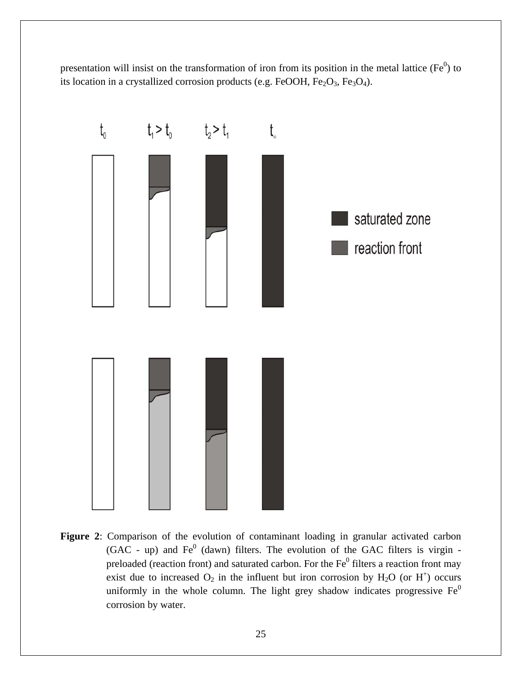presentation will insist on the transformation of iron from its position in the metal lattice ( $Fe<sup>0</sup>$ ) to its location in a crystallized corrosion products (e.g. FeOOH,  $Fe<sub>2</sub>O<sub>3</sub>$ , Fe<sub>3</sub>O<sub>4</sub>).



**Figure 2**: Comparison of the evolution of contaminant loading in granular activated carbon  $(GAC - up)$  and  $Fe<sup>0</sup>$  (dawn) filters. The evolution of the GAC filters is virgin preloaded (reaction front) and saturated carbon. For the  $Fe<sup>0</sup>$  filters a reaction front may exist due to increased  $O_2$  in the influent but iron corrosion by  $H_2O$  (or  $H^+$ ) occurs uniformly in the whole column. The light grey shadow indicates progressive  $Fe<sup>0</sup>$ corrosion by water.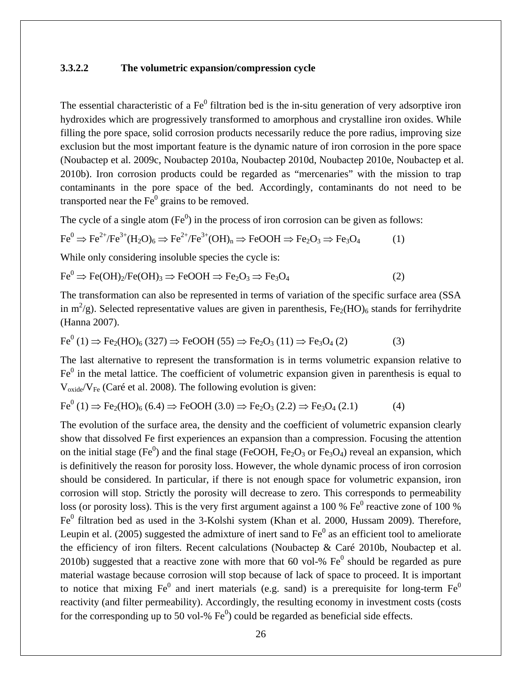#### **3.3.2.2 The volumetric expansion/compression cycle**

The essential characteristic of a  $Fe<sup>0</sup>$  filtration bed is the in-situ generation of very adsorptive iron hydroxides which are progressively transformed to amorphous and crystalline iron oxides. While filling the pore space, solid corrosion products necessarily reduce the pore radius, improving size exclusion but the most important feature is the dynamic nature of iron corrosion in the pore space (Noubactep et al. 2009c, Noubactep 2010a, Noubactep 2010d, Noubactep 2010e, Noubactep et al. 2010b). Iron corrosion products could be regarded as "mercenaries" with the mission to trap contaminants in the pore space of the bed. Accordingly, contaminants do not need to be transported near the  $Fe<sup>0</sup>$  grains to be removed.

The cycle of a single atom  $(Fe<sup>0</sup>)$  in the process of iron corrosion can be given as follows:

$$
\text{Fe}^0 \Rightarrow \text{Fe}^{2+}/\text{Fe}^{3+}(\text{H}_2\text{O})_6 \Rightarrow \text{Fe}^{2+}/\text{Fe}^{3+}(\text{OH})_n \Rightarrow \text{FeOOH} \Rightarrow \text{Fe}_2\text{O}_3 \Rightarrow \text{Fe}_3\text{O}_4 \tag{1}
$$

While only considering insoluble species the cycle is:

$$
\text{Fe}^0 \Rightarrow \text{Fe(OH)}_2/\text{Fe(OH)}_3 \Rightarrow \text{FeOOH} \Rightarrow \text{Fe}_2\text{O}_3 \Rightarrow \text{Fe}_3\text{O}_4 \tag{2}
$$

The transformation can also be represented in terms of variation of the specific surface area (SSA in  $m^2/g$ ). Selected representative values are given in parenthesis,  $Fe_2(HO)_6$  stands for ferrihydrite (Hanna 2007).

$$
\text{Fe}^0(1) \Rightarrow \text{Fe}_2(\text{HO})_6(327) \Rightarrow \text{FeOOH}(55) \Rightarrow \text{Fe}_2\text{O}_3(11) \Rightarrow \text{Fe}_3\text{O}_4(2) \tag{3}
$$

The last alternative to represent the transformation is in terms volumetric expansion relative to  $Fe<sup>0</sup>$  in the metal lattice. The coefficient of volumetric expansion given in parenthesis is equal to  $V_{\text{oxide}}/V_{\text{Fe}}$  (Caré et al. 2008). The following evolution is given:

$$
\text{Fe}^{0}(1) \Rightarrow \text{Fe}_{2}(\text{HO})_{6}(6.4) \Rightarrow \text{FeOOH}(3.0) \Rightarrow \text{Fe}_{2}\text{O}_{3}(2.2) \Rightarrow \text{Fe}_{3}\text{O}_{4}(2.1) \tag{4}
$$

The evolution of the surface area, the density and the coefficient of volumetric expansion clearly show that dissolved Fe first experiences an expansion than a compression. Focusing the attention on the initial stage (Fe<sup>0</sup>) and the final stage (FeOOH, Fe<sub>2</sub>O<sub>3</sub> or Fe<sub>3</sub>O<sub>4</sub>) reveal an expansion, which is definitively the reason for porosity loss. However, the whole dynamic process of iron corrosion should be considered. In particular, if there is not enough space for volumetric expansion, iron corrosion will stop. Strictly the porosity will decrease to zero. This corresponds to permeability loss (or porosity loss). This is the very first argument against a 100 %  $Fe<sup>0</sup>$  reactive zone of 100 % Fe<sup>0</sup> filtration bed as used in the 3-Kolshi system (Khan et al. 2000, Hussam 2009). Therefore, Leupin et al. (2005) suggested the admixture of inert sand to  $Fe<sup>0</sup>$  as an efficient tool to ameliorate the efficiency of iron filters. Recent calculations (Noubactep & Caré 2010b, Noubactep et al. 2010b) suggested that a reactive zone with more that 60 vol-%  $Fe<sup>0</sup>$  should be regarded as pure material wastage because corrosion will stop because of lack of space to proceed. It is important to notice that mixing  $Fe^0$  and inert materials (e.g. sand) is a prerequisite for long-term  $Fe^0$ reactivity (and filter permeability). Accordingly, the resulting economy in investment costs (costs for the corresponding up to 50 vol-%  $Fe<sup>0</sup>$ ) could be regarded as beneficial side effects.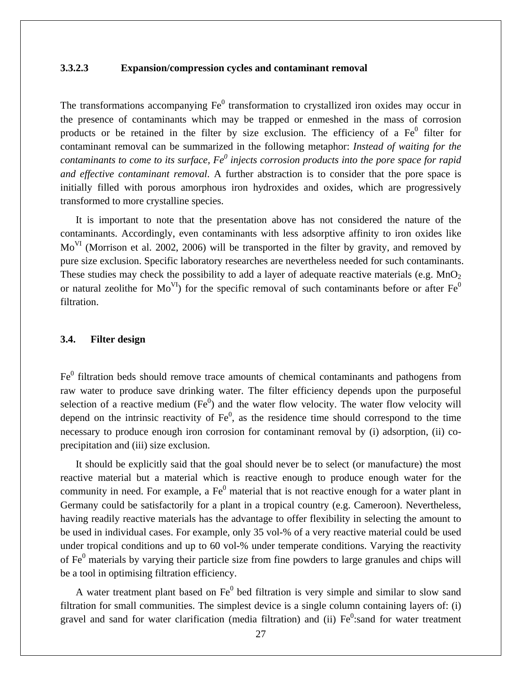#### **3.3.2.3 Expansion/compression cycles and contaminant removal**

The transformations accompanying  $Fe<sup>0</sup>$  transformation to crystallized iron oxides may occur in the presence of contaminants which may be trapped or enmeshed in the mass of corrosion products or be retained in the filter by size exclusion. The efficiency of a  $Fe<sup>0</sup>$  filter for contaminant removal can be summarized in the following metaphor: *Instead of waiting for the*  contaminants to come to its surface, Fe<sup>0</sup> injects corrosion products into the pore space for rapid *and effective contaminant removal*. A further abstraction is to consider that the pore space is initially filled with porous amorphous iron hydroxides and oxides, which are progressively transformed to more crystalline species.

It is important to note that the presentation above has not considered the nature of the contaminants. Accordingly, even contaminants with less adsorptive affinity to iron oxides like Mo<sup>VI</sup> (Morrison et al. 2002, 2006) will be transported in the filter by gravity, and removed by pure size exclusion. Specific laboratory researches are nevertheless needed for such contaminants. These studies may check the possibility to add a layer of adequate reactive materials (e.g.  $MnO<sub>2</sub>$ ) or natural zeolithe for  $Mo<sup>VI</sup>$  for the specific removal of such contaminants before or after  $Fe<sup>0</sup>$ filtration.

#### **3.4. Filter design**

Fe<sup>0</sup> filtration beds should remove trace amounts of chemical contaminants and pathogens from raw water to produce save drinking water. The filter efficiency depends upon the purposeful selection of a reactive medium  $(Fe^0)$  and the water flow velocity. The water flow velocity will depend on the intrinsic reactivity of  $Fe<sup>0</sup>$ , as the residence time should correspond to the time necessary to produce enough iron corrosion for contaminant removal by (i) adsorption, (ii) coprecipitation and (iii) size exclusion.

It should be explicitly said that the goal should never be to select (or manufacture) the most reactive material but a material which is reactive enough to produce enough water for the community in need. For example, a  $Fe<sup>0</sup>$  material that is not reactive enough for a water plant in Germany could be satisfactorily for a plant in a tropical country (e.g. Cameroon). Nevertheless, having readily reactive materials has the advantage to offer flexibility in selecting the amount to be used in individual cases. For example, only 35 vol-% of a very reactive material could be used under tropical conditions and up to 60 vol-% under temperate conditions. Varying the reactivity of  $Fe<sup>0</sup>$  materials by varying their particle size from fine powders to large granules and chips will be a tool in optimising filtration efficiency.

A water treatment plant based on  $Fe<sup>0</sup>$  bed filtration is very simple and similar to slow sand filtration for small communities. The simplest device is a single column containing layers of: (i) gravel and sand for water clarification (media filtration) and (ii)  $Fe<sup>0</sup>$ :sand for water treatment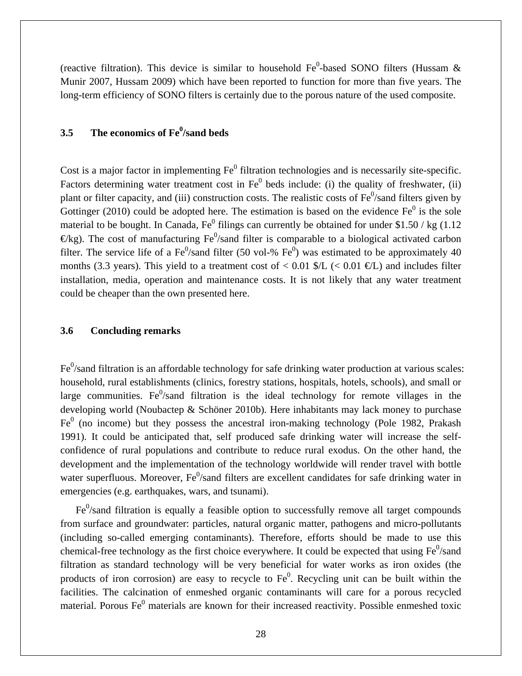(reactive filtration). This device is similar to household  $Fe<sup>0</sup>$ -based SONO filters (Hussam & Munir 2007, Hussam 2009) which have been reported to function for more than five years. The long-term efficiency of SONO filters is certainly due to the porous nature of the used composite.

# **3.5** The economics of Fe<sup>0</sup>/sand beds

Cost is a major factor in implementing  $Fe<sup>0</sup>$  filtration technologies and is necessarily site-specific. Factors determining water treatment cost in  $Fe<sup>0</sup>$  beds include: (i) the quality of freshwater, (ii) plant or filter capacity, and (iii) construction costs. The realistic costs of  $Fe<sup>0</sup>/s$  and filters given by Gottinger (2010) could be adopted here. The estimation is based on the evidence  $Fe<sup>0</sup>$  is the sole material to be bought. In Canada,  $Fe^0$  filings can currently be obtained for under \$1.50 / kg (1.12)  $\Theta$ kg). The cost of manufacturing Fe<sup>0</sup>/sand filter is comparable to a biological activated carbon filter. The service life of a Fe<sup>0</sup>/sand filter (50 vol-% Fe<sup>0</sup>) was estimated to be approximately 40 months (3.3 years). This yield to a treatment cost of  $< 0.01$  \$/L ( $< 0.01$   $\in$  EL) and includes filter installation, media, operation and maintenance costs. It is not likely that any water treatment could be cheaper than the own presented here.

#### **3.6 Concluding remarks**

 $Fe<sup>0</sup>/s$  filtration is an affordable technology for safe drinking water production at various scales: household, rural establishments (clinics, forestry stations, hospitals, hotels, schools), and small or large communities. Fe $\frac{0}{s}$  filtration is the ideal technology for remote villages in the developing world (Noubactep & Schöner 2010b). Here inhabitants may lack money to purchase  $Fe<sup>0</sup>$  (no income) but they possess the ancestral iron-making technology (Pole 1982, Prakash 1991). It could be anticipated that, self produced safe drinking water will increase the selfconfidence of rural populations and contribute to reduce rural exodus. On the other hand, the development and the implementation of the technology worldwide will render travel with bottle water superfluous. Moreover,  $Fe<sup>0</sup>/s$  and filters are excellent candidates for safe drinking water in emergencies (e.g. earthquakes, wars, and tsunami).

 $Fe<sup>0</sup>/s$  and filtration is equally a feasible option to successfully remove all target compounds from surface and groundwater: particles, natural organic matter, pathogens and micro-pollutants (including so-called emerging contaminants). Therefore, efforts should be made to use this chemical-free technology as the first choice everywhere. It could be expected that using  $Fe^0$ /sand filtration as standard technology will be very beneficial for water works as iron oxides (the products of iron corrosion) are easy to recycle to  $Fe<sup>0</sup>$ . Recycling unit can be built within the facilities. The calcination of enmeshed organic contaminants will care for a porous recycled material. Porous Fe<sup>0</sup> materials are known for their increased reactivity. Possible enmeshed toxic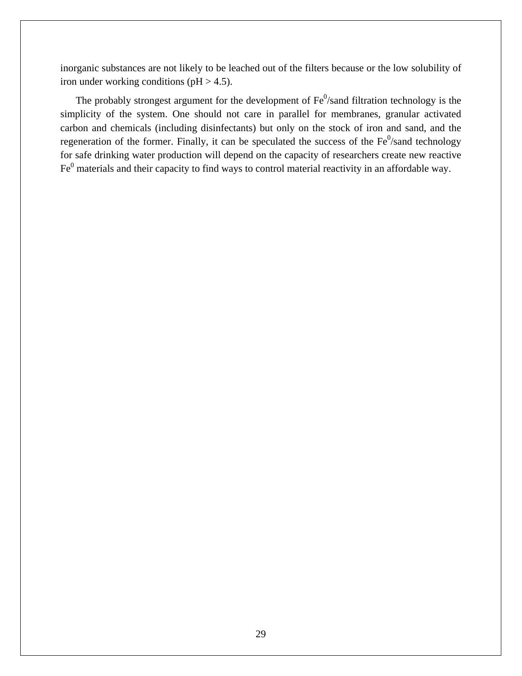inorganic substances are not likely to be leached out of the filters because or the low solubility of iron under working conditions ( $pH > 4.5$ ).

The probably strongest argument for the development of  $Fe<sup>0</sup>/s$  and filtration technology is the simplicity of the system. One should not care in parallel for membranes, granular activated carbon and chemicals (including disinfectants) but only on the stock of iron and sand, and the regeneration of the former. Finally, it can be speculated the success of the  $Fe<sup>0</sup>/s$  and technology for safe drinking water production will depend on the capacity of researchers create new reactive  $Fe<sup>0</sup>$  materials and their capacity to find ways to control material reactivity in an affordable way.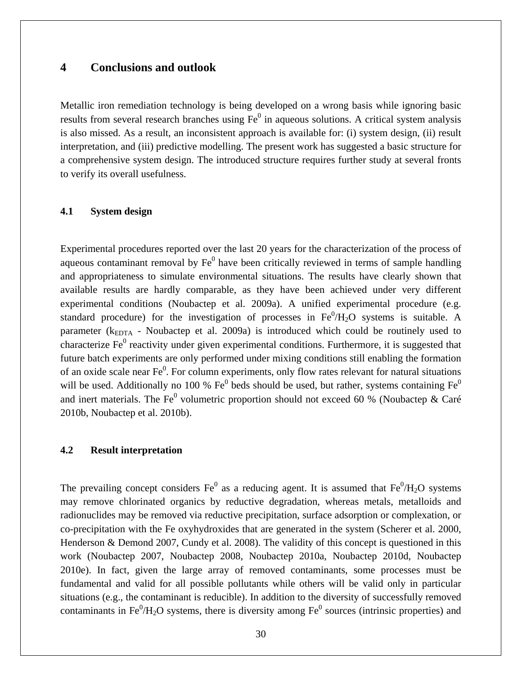# **4 Conclusions and outlook**

Metallic iron remediation technology is being developed on a wrong basis while ignoring basic results from several research branches using  $Fe<sup>0</sup>$  in aqueous solutions. A critical system analysis is also missed. As a result, an inconsistent approach is available for: (i) system design, (ii) result interpretation, and (iii) predictive modelling. The present work has suggested a basic structure for a comprehensive system design. The introduced structure requires further study at several fronts to verify its overall usefulness.

#### **4.1 System design**

Experimental procedures reported over the last 20 years for the characterization of the process of aqueous contaminant removal by  $Fe<sup>0</sup>$  have been critically reviewed in terms of sample handling and appropriateness to simulate environmental situations. The results have clearly shown that available results are hardly comparable, as they have been achieved under very different experimental conditions (Noubactep et al. 2009a). A unified experimental procedure (e.g. standard procedure) for the investigation of processes in  $Fe^{0}/H_{2}O$  systems is suitable. A parameter ( $k_{EDTA}$  - Noubactep et al. 2009a) is introduced which could be routinely used to characterize  $Fe<sup>0</sup>$  reactivity under given experimental conditions. Furthermore, it is suggested that future batch experiments are only performed under mixing conditions still enabling the formation of an oxide scale near  $Fe<sup>0</sup>$ . For column experiments, only flow rates relevant for natural situations will be used. Additionally no 100 %  $Fe^0$  beds should be used, but rather, systems containing  $Fe^0$ and inert materials. The Fe<sup>0</sup> volumetric proportion should not exceed 60 % (Noubactep & Caré 2010b, Noubactep et al. 2010b).

#### **4.2 Result interpretation**

The prevailing concept considers  $Fe^0$  as a reducing agent. It is assumed that  $Fe^0/H_2O$  systems may remove chlorinated organics by reductive degradation, whereas metals, metalloids and radionuclides may be removed via reductive precipitation, surface adsorption or complexation, or co-precipitation with the Fe oxyhydroxides that are generated in the system (Scherer et al. 2000, Henderson & Demond 2007, Cundy et al. 2008). The validity of this concept is questioned in this work (Noubactep 2007, Noubactep 2008, Noubactep 2010a, Noubactep 2010d, Noubactep 2010e). In fact, given the large array of removed contaminants, some processes must be fundamental and valid for all possible pollutants while others will be valid only in particular situations (e.g., the contaminant is reducible). In addition to the diversity of successfully removed contaminants in Fe ${}^{0}/H_{2}O$  systems, there is diversity among Fe ${}^{0}$  sources (intrinsic properties) and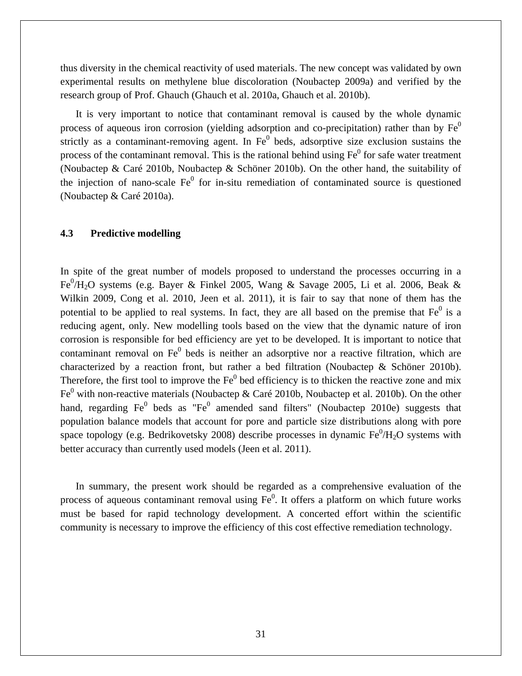thus diversity in the chemical reactivity of used materials. The new concept was validated by own experimental results on methylene blue discoloration (Noubactep 2009a) and verified by the research group of Prof. Ghauch (Ghauch et al. 2010a, Ghauch et al. 2010b).

It is very important to notice that contaminant removal is caused by the whole dynamic process of aqueous iron corrosion (yielding adsorption and co-precipitation) rather than by  $Fe<sup>0</sup>$ strictly as a contaminant-removing agent. In  $Fe<sup>0</sup>$  beds, adsorptive size exclusion sustains the process of the contaminant removal. This is the rational behind using  $Fe<sup>0</sup>$  for safe water treatment (Noubactep & Caré 2010b, Noubactep & Schöner 2010b). On the other hand, the suitability of the injection of nano-scale  $Fe<sup>0</sup>$  for in-situ remediation of contaminated source is questioned (Noubactep & Caré 2010a).

#### **4.3 Predictive modelling**

In spite of the great number of models proposed to understand the processes occurring in a Fe<sup>0</sup>/H<sub>2</sub>O systems (e.g. Bayer & Finkel 2005, Wang & Savage 2005, Li et al. 2006, Beak & Wilkin 2009, Cong et al. 2010, Jeen et al. 2011), it is fair to say that none of them has the potential to be applied to real systems. In fact, they are all based on the premise that  $Fe<sup>0</sup>$  is a reducing agent, only. New modelling tools based on the view that the dynamic nature of iron corrosion is responsible for bed efficiency are yet to be developed. It is important to notice that contaminant removal on  $Fe<sup>0</sup>$  beds is neither an adsorptive nor a reactive filtration, which are characterized by a reaction front, but rather a bed filtration (Noubactep & Schöner 2010b). Therefore, the first tool to improve the  $Fe<sup>0</sup>$  bed efficiency is to thicken the reactive zone and mix Fe<sup>0</sup> with non-reactive materials (Noubactep & Caré 2010b, Noubactep et al. 2010b). On the other hand, regarding  $Fe<sup>0</sup>$  beds as "Fe<sup>0</sup> amended sand filters" (Noubactep 2010e) suggests that population balance models that account for pore and particle size distributions along with pore space topology (e.g. Bedrikovetsky 2008) describe processes in dynamic  $Fe^0/H_2O$  systems with better accuracy than currently used models (Jeen et al. 2011).

In summary, the present work should be regarded as a comprehensive evaluation of the process of aqueous contaminant removal using  $Fe<sup>0</sup>$ . It offers a platform on which future works must be based for rapid technology development. A concerted effort within the scientific community is necessary to improve the efficiency of this cost effective remediation technology.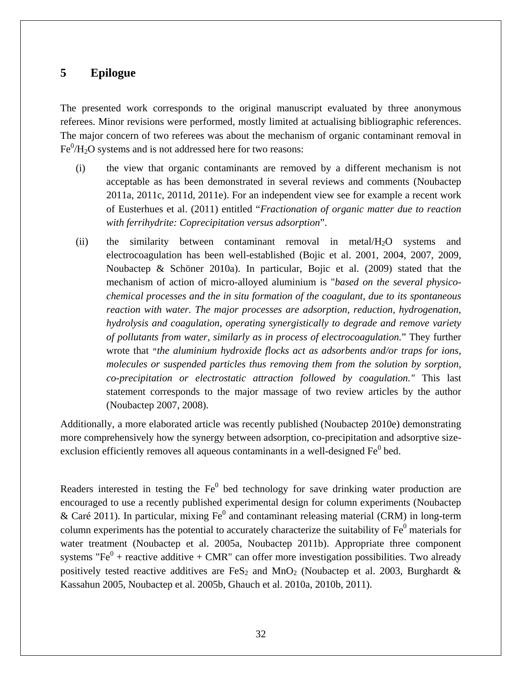# **5 Epilogue**

The presented work corresponds to the original manuscript evaluated by three anonymous referees. Minor revisions were performed, mostly limited at actualising bibliographic references. The major concern of two referees was about the mechanism of organic contaminant removal in  $Fe^{0}/H_{2}O$  systems and is not addressed here for two reasons:

- (i) the view that organic contaminants are removed by a different mechanism is not acceptable as has been demonstrated in several reviews and comments (Noubactep 2011a, 2011c, 2011d, 2011e). For an independent view see for example a recent work of Eusterhues et al. (2011) entitled "*Fractionation of organic matter due to reaction with ferrihydrite: Coprecipitation versus adsorption*".
- (ii) the similarity between contaminant removal in metal/H2O systems and electrocoagulation has been well-established (Bojic et al. 2001, 2004, 2007, 2009, Noubactep & Schöner 2010a). In particular, Bojic et al. (2009) stated that the mechanism of action of micro-alloyed aluminium is "*based on the several physicochemical processes and the in situ formation of the coagulant, due to its spontaneous reaction with water. The major processes are adsorption, reduction, hydrogenation, hydrolysis and coagulation, operating synergistically to degrade and remove variety of pollutants from water, similarly as in process of electrocoagulation.*" They further wrote that "*the aluminium hydroxide flocks act as adsorbents and/or traps for ions, molecules or suspended particles thus removing them from the solution by sorption, co-precipitation or electrostatic attraction followed by coagulation."* This last statement corresponds to the major massage of two review articles by the author (Noubactep 2007, 2008).

Additionally, a more elaborated article was recently published (Noubactep 2010e) demonstrating more comprehensively how the synergy between adsorption, co-precipitation and adsorptive sizeexclusion efficiently removes all aqueous contaminants in a well-designed  $Fe<sup>0</sup>$  bed.

Readers interested in testing the  $Fe<sup>0</sup>$  bed technology for save drinking water production are encouraged to use a recently published experimental design for column experiments (Noubactep & Caré 2011). In particular, mixing  $Fe<sup>0</sup>$  and contaminant releasing material (CRM) in long-term column experiments has the potential to accurately characterize the suitability of  $Fe<sup>0</sup>$  materials for water treatment (Noubactep et al. 2005a, Noubactep 2011b). Appropriate three component systems "Fe<sup>0</sup> + reactive additive + CMR" can offer more investigation possibilities. Two already positively tested reactive additives are FeS<sub>2</sub> and MnO<sub>2</sub> (Noubactep et al. 2003, Burghardt & Kassahun 2005, Noubactep et al. 2005b, Ghauch et al. 2010a, 2010b, 2011).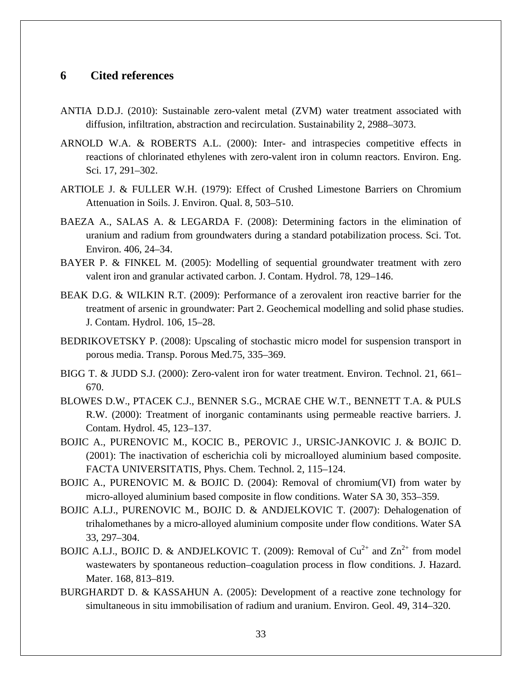## **6 Cited references**

- ANTIA D.D.J. (2010): Sustainable zero-valent metal (ZVM) water treatment associated with diffusion, infiltration, abstraction and recirculation. Sustainability 2, 2988–3073.
- ARNOLD W.A. & ROBERTS A.L. (2000): Inter- and intraspecies competitive effects in reactions of chlorinated ethylenes with zero-valent iron in column reactors. Environ. Eng. Sci. 17, 291–302.
- ARTIOLE J. & FULLER W.H. (1979): Effect of Crushed Limestone Barriers on Chromium Attenuation in Soils. J. Environ. Qual. 8, 503–510.
- BAEZA A., SALAS A. & LEGARDA F. (2008): Determining factors in the elimination of uranium and radium from groundwaters during a standard potabilization process. Sci. Tot. Environ. 406, 24–34.
- BAYER P. & FINKEL M. (2005): Modelling of sequential groundwater treatment with zero valent iron and granular activated carbon. J. Contam. Hydrol. 78, 129–146.
- BEAK D.G. & WILKIN R.T. (2009): Performance of a zerovalent iron reactive barrier for the treatment of arsenic in groundwater: Part 2. Geochemical modelling and solid phase studies. J. Contam. Hydrol. 106, 15–28.
- BEDRIKOVETSKY P. (2008): Upscaling of stochastic micro model for suspension transport in porous media. Transp. Porous Med.75, 335–369.
- BIGG T. & JUDD S.J. (2000): Zero-valent iron for water treatment. Environ. Technol. 21, 661– 670.
- BLOWES D.W., PTACEK C.J., BENNER S.G., MCRAE CHE W.T., BENNETT T.A. & PULS R.W. (2000): Treatment of inorganic contaminants using permeable reactive barriers. J. Contam. Hydrol. 45, 123–137.
- BOJIC A., PURENOVIC M., KOCIC B., PEROVIC J., URSIC-JANKOVIC J. & BOJIC D. (2001): The inactivation of escherichia coli by microalloyed aluminium based composite. FACTA UNIVERSITATIS, Phys. Chem. Technol. 2, 115–124.
- BOJIC A., PURENOVIC M. & BOJIC D. (2004): Removal of chromium(VI) from water by micro-alloyed aluminium based composite in flow conditions. Water SA 30, 353–359.
- BOJIC A.LJ., PURENOVIC M., BOJIC D. & ANDJELKOVIC T. (2007): Dehalogenation of trihalomethanes by a micro-alloyed aluminium composite under flow conditions. Water SA 33, 297–304.
- BOJIC A.LJ., BOJIC D. & ANDJELKOVIC T. (2009): Removal of  $Cu^{2+}$  and  $Zn^{2+}$  from model wastewaters by spontaneous reduction–coagulation process in flow conditions. J. Hazard. Mater. 168, 813–819.
- BURGHARDT D. & KASSAHUN A. (2005): Development of a reactive zone technology for simultaneous in situ immobilisation of radium and uranium. Environ. Geol. 49, 314–320.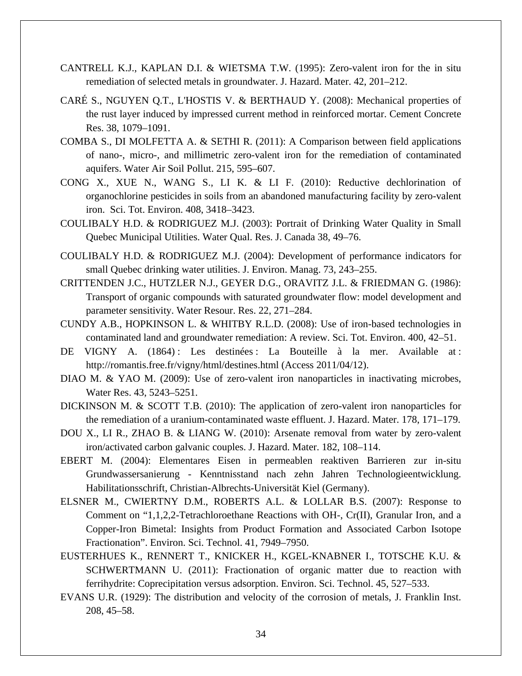- CANTRELL K.J., KAPLAN D.I. & WIETSMA T.W. (1995): Zero-valent iron for the in situ remediation of selected metals in groundwater. J. Hazard. Mater. 42, 201–212.
- CARÉ S., NGUYEN Q.T., L'HOSTIS V. & BERTHAUD Y. (2008): Mechanical properties of the rust layer induced by impressed current method in reinforced mortar. Cement Concrete Res. 38, 1079–1091.
- COMBA S., DI MOLFETTA A. & SETHI R. (2011): A Comparison between field applications of nano-, micro-, and millimetric zero-valent iron for the remediation of contaminated aquifers. Water Air Soil Pollut. 215, 595–607.
- CONG X., XUE N., WANG S., LI K. & LI F. (2010): Reductive dechlorination of organochlorine pesticides in soils from an abandoned manufacturing facility by zero-valent iron. Sci. Tot. Environ. 408, 3418–3423.
- COULIBALY H.D. & RODRIGUEZ M.J. (2003): Portrait of Drinking Water Quality in Small Quebec Municipal Utilities. Water Qual. Res. J. Canada 38, 49–76.
- COULIBALY H.D. & RODRIGUEZ M.J. (2004): Development of performance indicators for small Quebec drinking water utilities. J. Environ. Manag. 73, 243–255.
- CRITTENDEN J.C., HUTZLER N.J., GEYER D.G., ORAVITZ J.L. & FRIEDMAN G. (1986): Transport of organic compounds with saturated groundwater flow: model development and parameter sensitivity. Water Resour. Res. 22, 271–284.
- CUNDY A.B., HOPKINSON L. & WHITBY R.L.D. (2008): Use of iron-based technologies in contaminated land and groundwater remediation: A review. Sci. Tot. Environ. 400, 42–51.
- DE VIGNY A. (1864): Les destinées : La Bouteille à la mer. Available at : <http://romantis.free.fr/vigny/html/destines.html> (Access 2011/04/12).
- DIAO M. & YAO M. (2009): Use of zero-valent iron nanoparticles in inactivating microbes, Water Res. 43, 5243–5251.
- DICKINSON M. & SCOTT T.B. (2010): The application of zero-valent iron nanoparticles for the remediation of a uranium-contaminated waste effluent. J. Hazard. Mater. 178, 171–179.
- DOU X., LI R., ZHAO B. & LIANG W. (2010): Arsenate removal from water by zero-valent iron/activated carbon galvanic couples. J. Hazard. Mater. 182, 108–114.
- EBERT M. (2004): Elementares Eisen in permeablen reaktiven Barrieren zur in-situ Grundwassersanierung - Kenntnisstand nach zehn Jahren Technologieentwicklung. Habilitationsschrift, Christian-Albrechts-Universität Kiel (Germany).
- ELSNER M., CWIERTNY D.M., ROBERTS A.L. & LOLLAR B.S. (2007): Response to Comment on "1,1,2,2-Tetrachloroethane Reactions with OH-, Cr(II), Granular Iron, and a Copper-Iron Bimetal: Insights from Product Formation and Associated Carbon Isotope Fractionation". Environ. Sci. Technol. 41, 7949–7950.
- EUSTERHUES K., RENNERT T., KNICKER H., KGEL-KNABNER I., TOTSCHE K.U. & SCHWERTMANN U. (2011): Fractionation of organic matter due to reaction with ferrihydrite: Coprecipitation versus adsorption. Environ. Sci. Technol. 45, 527–533.
- EVANS U.R. (1929): The distribution and velocity of the corrosion of metals, J. Franklin Inst. 208, 45–58.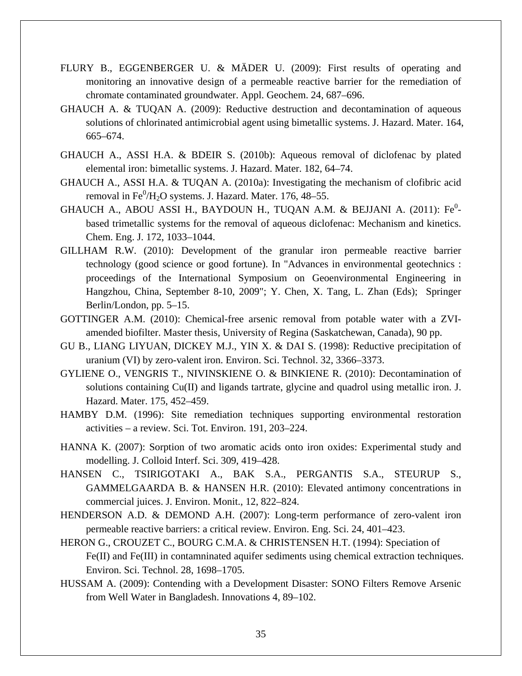- FLURY B., EGGENBERGER U. & MÄDER U. (2009): First results of operating and monitoring an innovative design of a permeable reactive barrier for the remediation of chromate contaminated groundwater. Appl. Geochem. 24, 687–696.
- GHAUCH A. & TUQAN A. (2009): Reductive destruction and decontamination of aqueous solutions of chlorinated antimicrobial agent using bimetallic systems. J. Hazard. Mater. 164, 665–674.
- GHAUCH A., ASSI H.A. & BDEIR S. (2010b): Aqueous removal of diclofenac by plated elemental iron: bimetallic systems. J. Hazard. Mater. 182, 64–74.
- GHAUCH A., ASSI H.A. & TUQAN A. (2010a): Investigating the mechanism of clofibric acid removal in  $\rm Fe^0/H_2O$  systems. J. Hazard. Mater. 176, 48–55.
- GHAUCH A., ABOU ASSI H., BAYDOUN H., TUQAN A.M. & BEJJANI A. (2011): Fe<sup>0</sup>based trimetallic systems for the removal of aqueous diclofenac: Mechanism and kinetics. Chem. Eng. J. 172, 1033–1044.
- GILLHAM R.W. (2010): Development of the granular iron permeable reactive barrier technology (good science or good fortune). In "Advances in environmental geotechnics : proceedings of the International Symposium on Geoenvironmental Engineering in Hangzhou, China, September 8-10, 2009"; Y. Chen, X. Tang, L. Zhan (Eds); Springer Berlin/London, pp. 5–15.
- GOTTINGER A.M. (2010): Chemical-free arsenic removal from potable water with a ZVIamended biofilter. Master thesis, University of Regina (Saskatchewan, Canada), 90 pp.
- GU B., LIANG LIYUAN, DICKEY M.J., YIN X. & DAI S. (1998): Reductive precipitation of uranium (VI) by zero-valent iron. Environ. Sci. Technol. 32, 3366–3373.
- GYLIENE O., VENGRIS T., NIVINSKIENE O. & BINKIENE R. (2010): Decontamination of solutions containing Cu(II) and ligands tartrate, glycine and quadrol using metallic iron. J. Hazard. Mater. 175, 452–459.
- HAMBY D.M. (1996): Site remediation techniques supporting environmental restoration activities – a review. Sci. Tot. Environ. 191, 203–224.
- HANNA K. (2007): Sorption of two aromatic acids onto iron oxides: Experimental study and modelling. J. Colloid Interf. Sci. 309, 419–428.
- HANSEN C., TSIRIGOTAKI A., BAK S.A., PERGANTIS S.A., STEURUP S., GAMMELGAARDA B. & HANSEN H.R. (2010): Elevated antimony concentrations in commercial juices. J. Environ. Monit., 12, 822–824.
- HENDERSON A.D. & DEMOND A.H. (2007): Long-term performance of zero-valent iron permeable reactive barriers: a critical review. Environ. Eng. Sci. 24, 401–423.
- HERON G., CROUZET C., BOURG C.M.A. & CHRISTENSEN H.T. (1994): Speciation of Fe(II) and Fe(III) in contamninated aquifer sediments using chemical extraction techniques. Environ. Sci. Technol. 28, 1698–1705.
- HUSSAM A. (2009): Contending with a Development Disaster: SONO Filters Remove Arsenic from Well Water in Bangladesh. Innovations 4, 89–102.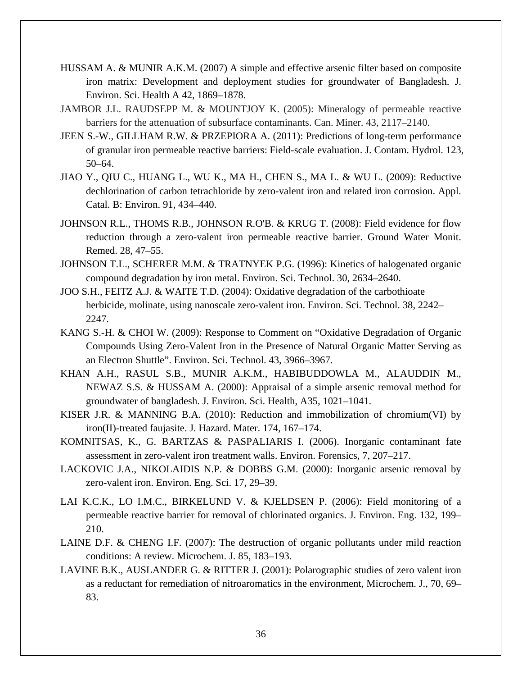- HUSSAM A. & MUNIR A.K.M. (2007) A simple and effective arsenic filter based on composite iron matrix: Development and deployment studies for groundwater of Bangladesh. J. Environ. Sci. Health A 42, 1869–1878.
- JAMBOR J.L. RAUDSEPP M. & MOUNTJOY K. (2005): Mineralogy of permeable reactive barriers for the attenuation of subsurface contaminants. Can. Miner. 43, 2117–2140.
- JEEN S.-W., GILLHAM R.W. & PRZEPIORA A. (2011): Predictions of long-term performance of granular iron permeable reactive barriers: Field-scale evaluation. J. Contam. Hydrol. 123, 50–64.
- JIAO Y., QIU C., HUANG L., WU K., MA H., CHEN S., MA L. & WU L. (2009): Reductive dechlorination of carbon tetrachloride by zero-valent iron and related iron corrosion. Appl. Catal. B: Environ. 91, 434–440.
- JOHNSON R.L., THOMS R.B., JOHNSON R.O'B. & KRUG T. (2008): Field evidence for flow reduction through a zero-valent iron permeable reactive barrier. Ground Water Monit. Remed. 28, 47–55.
- JOHNSON T.L., SCHERER M.M. & TRATNYEK P.G. (1996): Kinetics of halogenated organic compound degradation by iron metal. Environ. Sci. Technol. 30, 2634–2640.
- JOO S.H., FEITZ A.J. & WAITE T.D. (2004): Oxidative degradation of the carbothioate herbicide, molinate, using nanoscale zero-valent iron. Environ. Sci. Technol. 38, 2242– 2247.
- KANG S.-H. & CHOI W. (2009): Response to Comment on "Oxidative Degradation of Organic Compounds Using Zero-Valent Iron in the Presence of Natural Organic Matter Serving as an Electron Shuttle". Environ. Sci. Technol. 43, 3966–3967.
- KHAN A.H., RASUL S.B., MUNIR A.K.M., HABIBUDDOWLA M., ALAUDDIN M., NEWAZ S.S. & HUSSAM A. (2000): Appraisal of a simple arsenic removal method for groundwater of bangladesh. J. Environ. Sci. Health, A35, 1021–1041.
- KISER J.R. & MANNING B.A. (2010): Reduction and immobilization of chromium(VI) by iron(II)-treated faujasite. J. Hazard. Mater. 174, 167–174.
- KOMNITSAS, K., G. BARTZAS & PASPALIARIS I. (2006). Inorganic contaminant fate assessment in zero-valent iron treatment walls. Environ. Forensics, 7, 207–217.
- LACKOVIC J.A., NIKOLAIDIS N.P. & DOBBS G.M. (2000): Inorganic arsenic removal by zero-valent iron. Environ. Eng. Sci. 17, 29–39.
- LAI K.C.K., LO I.M.C., BIRKELUND V. & KJELDSEN P. (2006): Field monitoring of a permeable reactive barrier for removal of chlorinated organics. J. Environ. Eng. 132, 199– 210.
- LAINE D.F. & CHENG I.F. (2007): The destruction of organic pollutants under mild reaction conditions: A review. Microchem. J. 85, 183–193.
- LAVINE B.K., AUSLANDER G. & RITTER J. (2001): Polarographic studies of zero valent iron as a reductant for remediation of nitroaromatics in the environment, Microchem. J., 70, 69– 83.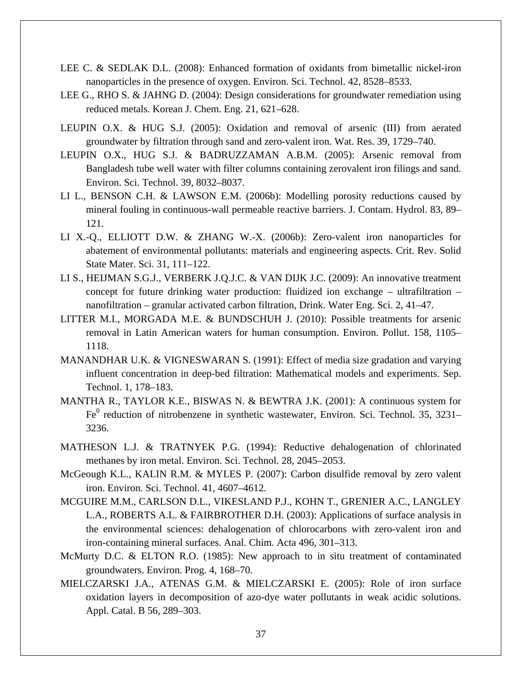- LEE C. & SEDLAK D.L. (2008): Enhanced formation of oxidants from bimetallic nickel-iron nanoparticles in the presence of oxygen. Environ. Sci. Technol. 42, 8528–8533.
- LEE G., RHO S. & JAHNG D. (2004): Design considerations for groundwater remediation using reduced metals. Korean J. Chem. Eng. 21, 621–628.
- LEUPIN O.X. & HUG S.J. (2005): Oxidation and removal of arsenic (III) from aerated groundwater by filtration through sand and zero-valent iron. Wat. Res. 39, 1729–740.
- LEUPIN O.X., HUG S.J. & BADRUZZAMAN A.B.M. (2005): Arsenic removal from Bangladesh tube well water with filter columns containing zerovalent iron filings and sand. Environ. Sci. Technol. 39, 8032–8037.
- LI L., BENSON C.H. & LAWSON E.M. (2006b): Modelling porosity reductions caused by mineral fouling in continuous-wall permeable reactive barriers. J. Contam. Hydrol. 83, 89– 121.
- LI X.-Q., ELLIOTT D.W. & ZHANG W.-X. (2006b): Zero-valent iron nanoparticles for abatement of environmental pollutants: materials and engineering aspects. Crit. Rev. Solid State Mater. Sci. 31, 111–122.
- LI S., HEIJMAN S.G.J., VERBERK J.Q.J.C. & VAN DIJK J.C. (2009): An innovative treatment concept for future drinking water production: fluidized ion exchange – ultrafiltration – nanofiltration – granular activated carbon filtration, Drink. Water Eng. Sci. 2, 41–47.
- LITTER M.I., MORGADA M.E. & BUNDSCHUH J. (2010): Possible treatments for arsenic removal in Latin American waters for human consumption. Environ. Pollut. 158, 1105– 1118.
- MANANDHAR U.K. & VIGNESWARAN S. (1991): Effect of media size gradation and varying influent concentration in deep-bed filtration: Mathematical models and experiments. Sep. Technol. 1, 178–183.
- MANTHA R., TAYLOR K.E., BISWAS N. & BEWTRA J.K. (2001): A continuous system for  $Fe<sup>0</sup>$  reduction of nitrobenzene in synthetic wastewater, Environ. Sci. Technol. 35, 3231– 3236.
- MATHESON L.J. & TRATNYEK P.G. (1994): Reductive dehalogenation of chlorinated methanes by iron metal. Environ. Sci. Technol. 28, 2045–2053.
- McGeough K.L., KALIN R.M. & MYLES P. (2007): Carbon disulfide removal by zero valent iron. Environ. Sci. Technol. 41, 4607–4612.
- MCGUIRE M.M., CARLSON D.L., VIKESLAND P.J., KOHN T., GRENIER A.C., LANGLEY L.A., ROBERTS A.L. & FAIRBROTHER D.H. (2003): Applications of surface analysis in the environmental sciences: dehalogenation of chlorocarbons with zero-valent iron and iron-containing mineral surfaces. Anal. Chim. Acta 496, 301–313.
- McMurty D.C. & ELTON R.O. (1985): New approach to in situ treatment of contaminated groundwaters. Environ. Prog. 4, 168–70.
- MIELCZARSKI J.A., ATENAS G.M. & MIELCZARSKI E. (2005): Role of iron surface oxidation layers in decomposition of azo-dye water pollutants in weak acidic solutions. Appl. Catal. B 56, 289–303.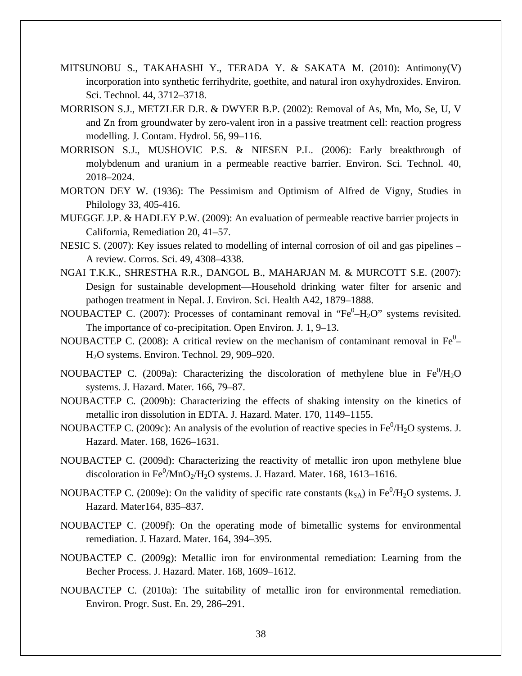- MITSUNOBU S., TAKAHASHI Y., TERADA Y. & SAKATA M. (2010): Antimony(V) incorporation into synthetic ferrihydrite, goethite, and natural iron oxyhydroxides. Environ. Sci. Technol. 44, 3712–3718.
- MORRISON S.J., METZLER D.R. & DWYER B.P. (2002): Removal of As, Mn, Mo, Se, U, V and Zn from groundwater by zero-valent iron in a passive treatment cell: reaction progress modelling. J. Contam. Hydrol. 56, 99–116.
- MORRISON S.J., MUSHOVIC P.S. & NIESEN P.L. (2006): Early breakthrough of molybdenum and uranium in a permeable reactive barrier. Environ. Sci. Technol. 40, 2018–2024.
- MORTON DEY W. (1936): The Pessimism and Optimism of Alfred de Vigny, Studies in Philology 33, 405-416.
- MUEGGE J.P. & HADLEY P.W. (2009): An evaluation of permeable reactive barrier projects in California, Remediation 20, 41–57.
- NESIC S. (2007): Key issues related to modelling of internal corrosion of oil and gas pipelines A review. Corros. Sci. 49, 4308–4338.
- NGAI T.K.K., SHRESTHA R.R., DANGOL B., MAHARJAN M. & MURCOTT S.E. (2007): Design for sustainable development—Household drinking water filter for arsenic and pathogen treatment in Nepal. J. Environ. Sci. Health A42, 1879–1888.
- NOUBACTEP C. (2007): Processes of contaminant removal in "Fe $^0$ -H<sub>2</sub>O" systems revisited. The importance of co-precipitation. Open Environ. J. 1, 9–13.
- NOUBACTEP C. (2008): A critical review on the mechanism of contaminant removal in  $Fe^{0}$ H2O systems. Environ. Technol. 29, 909–920.
- NOUBACTEP C. (2009a): Characterizing the discoloration of methylene blue in  $Fe^0/H_2O$ systems. J. Hazard. Mater. 166, 79–87.
- NOUBACTEP C. (2009b): Characterizing the effects of shaking intensity on the kinetics of metallic iron dissolution in EDTA. J. Hazard. Mater. 170, 1149–1155.
- NOUBACTEP C. (2009c): An analysis of the evolution of reactive species in  $Fe^{0}/H_{2}O$  systems. J. Hazard. Mater. 168, 1626–1631.
- NOUBACTEP C. (2009d): Characterizing the reactivity of metallic iron upon methylene blue discoloration in Fe $^0$ /MnO<sub>2</sub>/H<sub>2</sub>O systems. J. Hazard. Mater. 168, 1613–1616.
- NOUBACTEP C. (2009e): On the validity of specific rate constants  $(k_{SA})$  in Fe<sup>0</sup>/H<sub>2</sub>O systems. J. Hazard. Mater164, 835–837.
- NOUBACTEP C. (2009f): On the operating mode of bimetallic systems for environmental remediation. J. Hazard. Mater. 164, 394–395.
- NOUBACTEP C. (2009g): Metallic iron for environmental remediation: Learning from the Becher Process. J. Hazard. Mater. 168, 1609–1612.
- NOUBACTEP C. (2010a): The suitability of metallic iron for environmental remediation. Environ. Progr. Sust. En. 29, 286–291.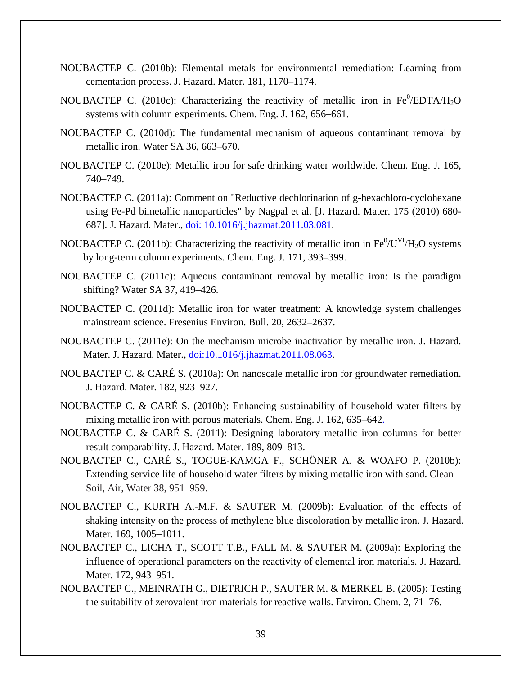- NOUBACTEP C. (2010b): Elemental metals for environmental remediation: Learning from cementation process. J. Hazard. Mater. 181, 1170–1174.
- NOUBACTEP C. (2010c): Characterizing the reactivity of metallic iron in  $Fe^0$ /EDTA/H<sub>2</sub>O systems with column experiments. Chem. Eng. J. 162, 656–661.
- NOUBACTEP C. (2010d): The fundamental mechanism of aqueous contaminant removal by metallic iron. Water SA 36, 663–670.
- NOUBACTEP C. (2010e): Metallic iron for safe drinking water worldwide. Chem. Eng. J. 165, 740–749.
- NOUBACTEP C. (2011a): Comment on "Reductive dechlorination of g-hexachloro-cyclohexane using Fe-Pd bimetallic nanoparticles" by Nagpal et al. [J. Hazard. Mater. 175 (2010) 680- 687]. J. Hazard. Mater., doi: 10.1016/j.jhazmat.2011.03.081.
- NOUBACTEP C. (2011b): Characterizing the reactivity of metallic iron in  $Fe^{0}/U^{VI}/H_{2}O$  systems by long-term column experiments. Chem. Eng. J. 171, 393–399.
- NOUBACTEP C. (2011c): Aqueous contaminant removal by metallic iron: Is the paradigm shifting? Water SA 37, 419–426.
- NOUBACTEP C. (2011d): Metallic iron for water treatment: A knowledge system challenges mainstream science. Fresenius Environ. Bull. 20, 2632–2637.
- NOUBACTEP C. (2011e): On the mechanism microbe inactivation by metallic iron. J. Hazard. Mater. J. Hazard. Mater., doi:10.1016/j.jhazmat.2011.08.063.
- NOUBACTEP C. & CARÉ S. (2010a): On nanoscale metallic iron for groundwater remediation. J. Hazard. Mater. 182, 923–927.
- NOUBACTEP C. & CARÉ S. (2010b): Enhancing sustainability of household water filters by mixing metallic iron with porous materials. Chem. Eng. J. 162, 635–642.
- NOUBACTEP C. & CARÉ S. (2011): Designing laboratory metallic iron columns for better result comparability. J. Hazard. Mater. 189, 809–813.
- NOUBACTEP C., CARÉ S., TOGUE-KAMGA F., SCHÖNER A. & WOAFO P. (2010b): Extending service life of household water filters by mixing metallic iron with sand. Clean – Soil, Air, Water 38, 951–959.
- NOUBACTEP C., KURTH A.-M.F. & SAUTER M. (2009b): Evaluation of the effects of shaking intensity on the process of methylene blue discoloration by metallic iron. J. Hazard. Mater. 169, 1005–1011.
- NOUBACTEP C., LICHA T., SCOTT T.B., FALL M. & SAUTER M. (2009a): Exploring the influence of operational parameters on the reactivity of elemental iron materials. J. Hazard. Mater. 172, 943–951.
- NOUBACTEP C., MEINRATH G., DIETRICH P., SAUTER M. & MERKEL B. (2005): Testing the suitability of zerovalent iron materials for reactive walls. Environ. Chem. 2, 71–76.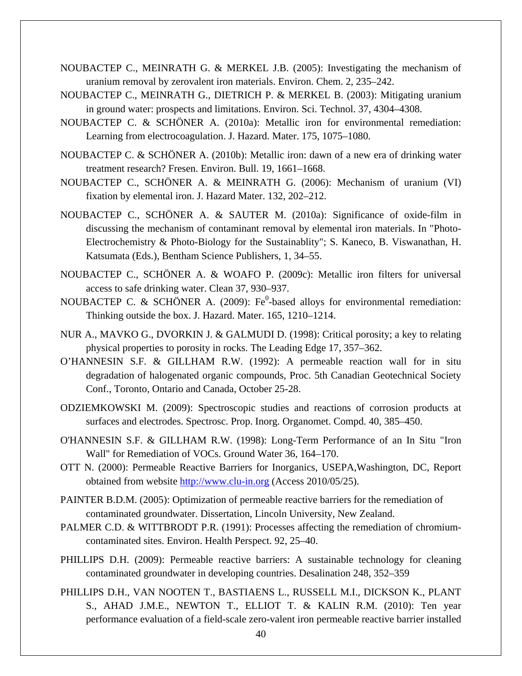- NOUBACTEP C., MEINRATH G. & MERKEL J.B. (2005): Investigating the mechanism of uranium removal by zerovalent iron materials. Environ. Chem. 2, 235–242.
- NOUBACTEP C., MEINRATH G., DIETRICH P. & MERKEL B. (2003): Mitigating uranium in ground water: prospects and limitations. Environ. Sci. Technol. 37, 4304–4308.
- NOUBACTEP C. & SCHÖNER A. (2010a): Metallic iron for environmental remediation: Learning from electrocoagulation. J. Hazard. Mater. 175, 1075–1080.
- NOUBACTEP C. & SCHÖNER A. (2010b): Metallic iron: dawn of a new era of drinking water treatment research? Fresen. Environ. Bull. 19, 1661–1668.
- NOUBACTEP C., SCHÖNER A. & MEINRATH G. (2006): Mechanism of uranium (VI) fixation by elemental iron. J. Hazard Mater. 132, 202–212.
- NOUBACTEP C., SCHÖNER A. & SAUTER M. (2010a): Significance of oxide-film in discussing the mechanism of contaminant removal by elemental iron materials. In "Photo-Electrochemistry & Photo-Biology for the Sustainablity"; S. Kaneco, B. Viswanathan, H. Katsumata (Eds.), Bentham Science Publishers, 1, 34–55.
- NOUBACTEP C., SCHÖNER A. & WOAFO P. (2009c): Metallic iron filters for universal access to safe drinking water. Clean 37, 930–937.
- NOUBACTEP C. & SCHÖNER A. (2009):  $Fe^0$ -based alloys for environmental remediation: Thinking outside the box. J. Hazard. Mater. 165, 1210–1214.
- NUR A., MAVKO G., DVORKIN J. & GALMUDI D. (1998): Critical porosity; a key to relating physical properties to porosity in rocks. The Leading Edge 17, 357–362.
- O'HANNESIN S.F. & GILLHAM R.W. (1992): A permeable reaction wall for in situ degradation of halogenated organic compounds, Proc. 5th Canadian Geotechnical Society Conf., Toronto, Ontario and Canada, October 25-28.
- ODZIEMKOWSKI M. (2009): Spectroscopic studies and reactions of corrosion products at surfaces and electrodes. Spectrosc. Prop. Inorg. Organomet. Compd. 40, 385–450.
- O'HANNESIN S.F. & GILLHAM R.W. (1998): Long-Term Performance of an In Situ "Iron Wall" for Remediation of VOCs. Ground Water 36, 164–170.
- OTT N. (2000): Permeable Reactive Barriers for Inorganics, USEPA,Washington, DC, Report obtained from website [http://www.clu-in.org](http://www.clu-in.org/) (Access 2010/05/25).
- PAINTER B.D.M. (2005): Optimization of permeable reactive barriers for the remediation of contaminated groundwater. Dissertation, Lincoln University, New Zealand.
- PALMER C.D. & WITTBRODT P.R. (1991): Processes affecting the remediation of chromiumcontaminated sites. Environ. Health Perspect. 92, 25–40.
- PHILLIPS D.H. (2009): Permeable reactive barriers: A sustainable technology for cleaning contaminated groundwater in developing countries. Desalination 248, 352–359
- PHILLIPS D.H., VAN NOOTEN T., BASTIAENS L., RUSSELL M.I., DICKSON K., PLANT S., AHAD J.M.E., NEWTON T., ELLIOT T. & KALIN R.M. (2010): Ten year performance evaluation of a field-scale zero-valent iron permeable reactive barrier installed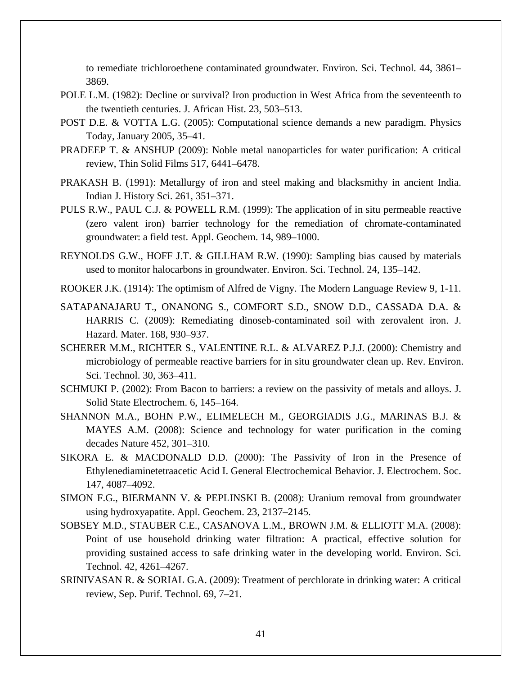to remediate trichloroethene contaminated groundwater. Environ. Sci. Technol. 44, 3861– 3869.

- POLE L.M. (1982): Decline or survival? Iron production in West Africa from the seventeenth to the twentieth centuries. J. African Hist. 23, 503–513.
- POST D.E. & VOTTA L.G. (2005): Computational science demands a new paradigm. Physics Today, January 2005, 35–41.
- PRADEEP T. & ANSHUP (2009): Noble metal nanoparticles for water purification: A critical review, Thin Solid Films 517, 6441–6478.
- PRAKASH B. (1991): Metallurgy of iron and steel making and blacksmithy in ancient India. Indian J. History Sci. 261, 351–371.
- PULS R.W., PAUL C.J. & POWELL R.M. (1999): The application of in situ permeable reactive (zero valent iron) barrier technology for the remediation of chromate-contaminated groundwater: a field test. Appl. Geochem. 14, 989–1000.
- REYNOLDS G.W., HOFF J.T. & GILLHAM R.W. (1990): Sampling bias caused by materials used to monitor halocarbons in groundwater. Environ. Sci. Technol. 24, 135–142.
- ROOKER J.K. (1914): The optimism of Alfred de Vigny. The Modern Language Review 9, 1-11.
- SATAPANAJARU T., ONANONG S., COMFORT S.D., SNOW D.D., CASSADA D.A. & HARRIS C. (2009): Remediating dinoseb-contaminated soil with zerovalent iron. J. Hazard. Mater. 168, 930–937.
- SCHERER M.M., RICHTER S., VALENTINE R.L. & ALVAREZ P.J.J. (2000): Chemistry and microbiology of permeable reactive barriers for in situ groundwater clean up. Rev. Environ. Sci. Technol. 30, 363–411.
- SCHMUKI P. (2002): From Bacon to barriers: a review on the passivity of metals and alloys. J. Solid State Electrochem. 6, 145–164.
- SHANNON M.A., BOHN P.W., ELIMELECH M., GEORGIADIS J.G., MARINAS B.J. & MAYES A.M. (2008): Science and technology for water purification in the coming decades Nature 452, 301–310.
- SIKORA E. & MACDONALD D.D. (2000): The Passivity of Iron in the Presence of Ethylenediaminetetraacetic Acid I. General Electrochemical Behavior. J. Electrochem. Soc. 147, 4087–4092.
- SIMON F.G., BIERMANN V. & PEPLINSKI B. (2008): Uranium removal from groundwater using hydroxyapatite. Appl. Geochem. 23, 2137–2145.
- SOBSEY M.D., STAUBER C.E., CASANOVA L.M., BROWN J.M. & ELLIOTT M.A. (2008): Point of use household drinking water filtration: A practical, effective solution for providing sustained access to safe drinking water in the developing world. Environ. Sci. Technol. 42, 4261–4267.
- SRINIVASAN R. & SORIAL G.A. (2009): Treatment of perchlorate in drinking water: A critical review, Sep. Purif. Technol. 69, 7–21.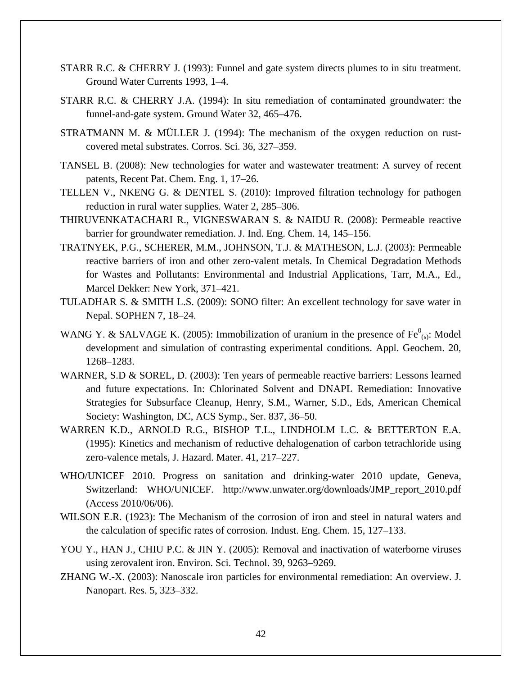- STARR R.C. & CHERRY J. (1993): Funnel and gate system directs plumes to in situ treatment. Ground Water Currents 1993, 1–4.
- STARR R.C. & CHERRY J.A. (1994): In situ remediation of contaminated groundwater: the funnel-and-gate system. Ground Water 32, 465–476.
- STRATMANN M. & MÜLLER J. (1994): The mechanism of the oxygen reduction on rustcovered metal substrates. Corros. Sci. 36, 327–359.
- TANSEL B. (2008): New technologies for water and wastewater treatment: A survey of recent patents, Recent Pat. Chem. Eng. 1, 17–26.
- TELLEN V., NKENG G. & DENTEL S. (2010): Improved filtration technology for pathogen reduction in rural water supplies. Water 2, 285–306.
- THIRUVENKATACHARI R., VIGNESWARAN S. & NAIDU R. (2008): Permeable reactive barrier for groundwater remediation. J. Ind. Eng. Chem. 14, 145–156.
- TRATNYEK, P.G., SCHERER, M.M., JOHNSON, T.J. & MATHESON, L.J. (2003): Permeable reactive barriers of iron and other zero-valent metals. In Chemical Degradation Methods for Wastes and Pollutants: Environmental and Industrial Applications, Tarr, M.A., Ed., Marcel Dekker: New York, 371–421.
- TULADHAR S. & SMITH L.S. (2009): SONO filter: An excellent technology for save water in Nepal. SOPHEN 7, 18–24.
- WANG Y. & SALVAGE K. (2005): Immobilization of uranium in the presence of  $Fe^{0}_{(s)}$ : Model development and simulation of contrasting experimental conditions. Appl. Geochem. 20, 1268–1283.
- WARNER, S.D & SOREL, D. (2003): Ten years of permeable reactive barriers: Lessons learned and future expectations. In: Chlorinated Solvent and DNAPL Remediation: Innovative Strategies for Subsurface Cleanup, Henry, S.M., Warner, S.D., Eds, American Chemical Society: Washington, DC, ACS Symp., Ser. 837, 36–50.
- WARREN K.D., ARNOLD R.G., BISHOP T.L., LINDHOLM L.C. & BETTERTON E.A. (1995): Kinetics and mechanism of reductive dehalogenation of carbon tetrachloride using zero-valence metals, J. Hazard. Mater. 41, 217–227.
- WHO/UNICEF 2010. Progress on sanitation and drinking-water 2010 update, Geneva, Switzerland: WHO/UNICEF. http://www.unwater.org/downloads/JMP\_report\_2010.pdf (Access 2010/06/06).
- WILSON E.R. (1923): The Mechanism of the corrosion of iron and steel in natural waters and the calculation of specific rates of corrosion. Indust. Eng. Chem. 15, 127–133.
- YOU Y., HAN J., CHIU P.C. & JIN Y. (2005): Removal and inactivation of waterborne viruses using zerovalent iron. Environ. Sci. Technol. 39, 9263–9269.
- ZHANG W.-X. (2003): Nanoscale iron particles for environmental remediation: An overview. J. Nanopart. Res. 5, 323–332.